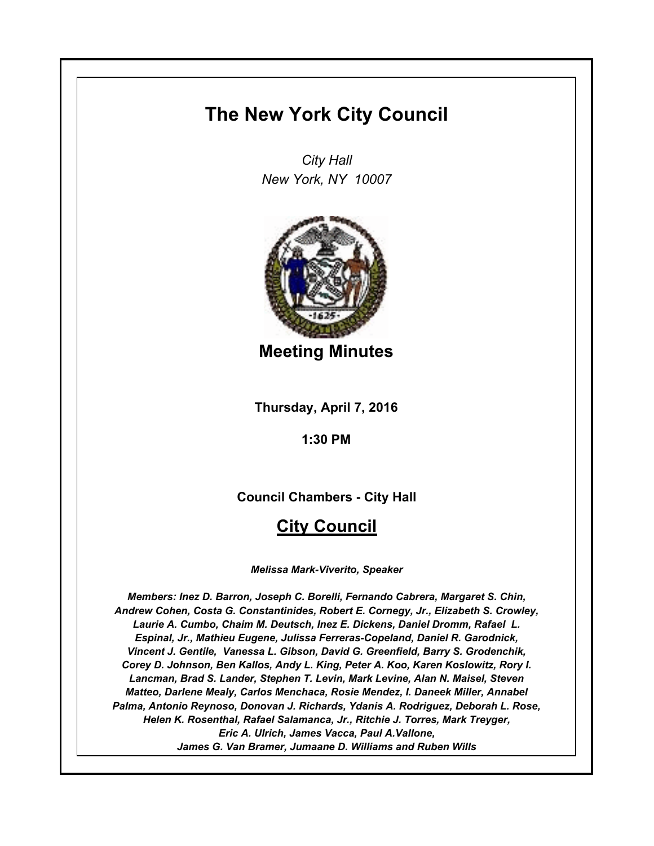# **The New York City Council**

*City Hall New York, NY 10007*



**Meeting Minutes**

**Thursday, April 7, 2016**

**1:30 PM**

**Council Chambers - City Hall**

# **City Council**

*Melissa Mark-Viverito, Speaker*

*Members: Inez D. Barron, Joseph C. Borelli, Fernando Cabrera, Margaret S. Chin, Andrew Cohen, Costa G. Constantinides, Robert E. Cornegy, Jr., Elizabeth S. Crowley, Laurie A. Cumbo, Chaim M. Deutsch, Inez E. Dickens, Daniel Dromm, Rafael L. Espinal, Jr., Mathieu Eugene, Julissa Ferreras-Copeland, Daniel R. Garodnick, Vincent J. Gentile, Vanessa L. Gibson, David G. Greenfield, Barry S. Grodenchik, Corey D. Johnson, Ben Kallos, Andy L. King, Peter A. Koo, Karen Koslowitz, Rory I. Lancman, Brad S. Lander, Stephen T. Levin, Mark Levine, Alan N. Maisel, Steven Matteo, Darlene Mealy, Carlos Menchaca, Rosie Mendez, I. Daneek Miller, Annabel Palma, Antonio Reynoso, Donovan J. Richards, Ydanis A. Rodriguez, Deborah L. Rose, Helen K. Rosenthal, Rafael Salamanca, Jr., Ritchie J. Torres, Mark Treyger, Eric A. Ulrich, James Vacca, Paul A.Vallone, James G. Van Bramer, Jumaane D. Williams and Ruben Wills*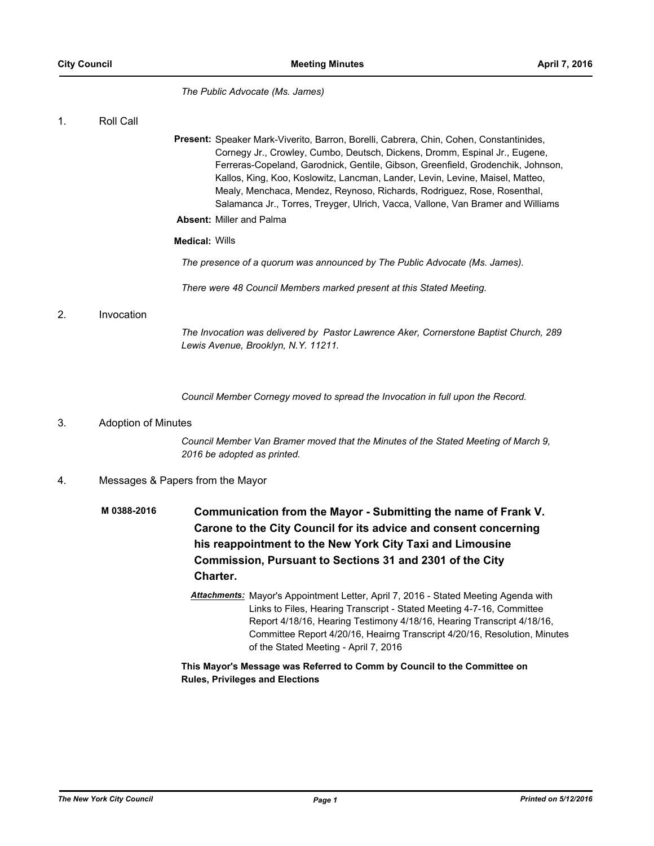*The Public Advocate (Ms. James)*

# 1. Roll Call

Present: Speaker Mark-Viverito, Barron, Borelli, Cabrera, Chin, Cohen, Constantinides, Cornegy Jr., Crowley, Cumbo, Deutsch, Dickens, Dromm, Espinal Jr., Eugene, Ferreras-Copeland, Garodnick, Gentile, Gibson, Greenfield, Grodenchik, Johnson, Kallos, King, Koo, Koslowitz, Lancman, Lander, Levin, Levine, Maisel, Matteo, Mealy, Menchaca, Mendez, Reynoso, Richards, Rodriguez, Rose, Rosenthal, Salamanca Jr., Torres, Treyger, Ulrich, Vacca, Vallone, Van Bramer and Williams **Absent:** Miller and Palma

# **Medical:** Wills

*The presence of a quorum was announced by The Public Advocate (Ms. James).*

*There were 48 Council Members marked present at this Stated Meeting.*

# 2. Invocation

*The Invocation was delivered by Pastor Lawrence Aker, Cornerstone Baptist Church, 289 Lewis Avenue, Brooklyn, N.Y. 11211.*

*Council Member Cornegy moved to spread the Invocation in full upon the Record.*

# 3. Adoption of Minutes

*Council Member Van Bramer moved that the Minutes of the Stated Meeting of March 9, 2016 be adopted as printed.*

# 4. Messages & Papers from the Mayor

- **Communication from the Mayor Submitting the name of Frank V. Carone to the City Council for its advice and consent concerning his reappointment to the New York City Taxi and Limousine Commission, Pursuant to Sections 31 and 2301 of the City Charter. M 0388-2016**
	- *Attachments:* Mayor's Appointment Letter, April 7, 2016 Stated Meeting Agenda with Links to Files, Hearing Transcript - Stated Meeting 4-7-16, Committee Report 4/18/16, Hearing Testimony 4/18/16, Hearing Transcript 4/18/16, Committee Report 4/20/16, Heairng Transcript 4/20/16, Resolution, Minutes of the Stated Meeting - April 7, 2016

# **This Mayor's Message was Referred to Comm by Council to the Committee on Rules, Privileges and Elections**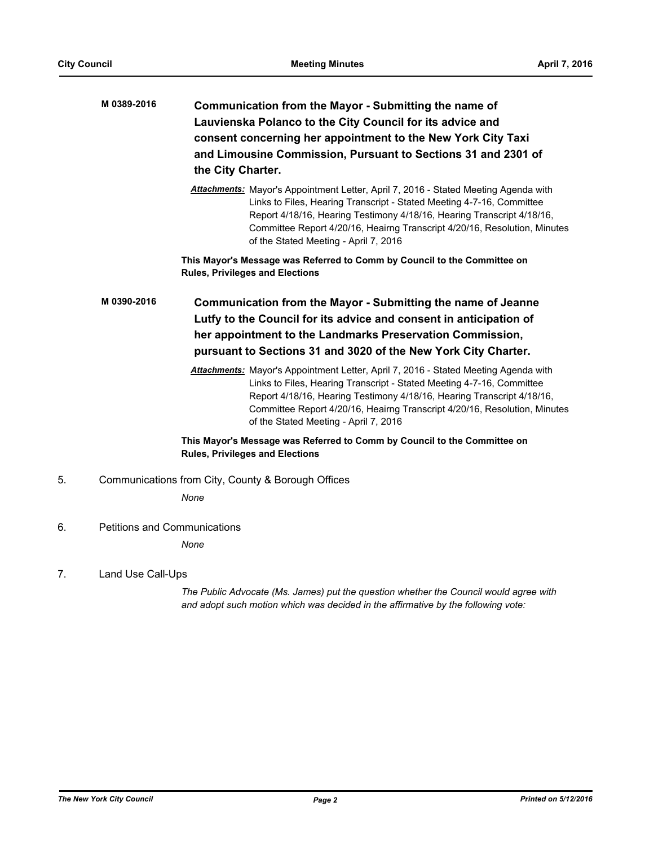| M 0389-2016 | Communication from the Mayor - Submitting the name of         |
|-------------|---------------------------------------------------------------|
|             | Lauvienska Polanco to the City Council for its advice and     |
|             | consent concerning her appointment to the New York City Taxi  |
|             | and Limousine Commission, Pursuant to Sections 31 and 2301 of |
|             | the City Charter.                                             |

*Attachments:* Mayor's Appointment Letter, April 7, 2016 - Stated Meeting Agenda with Links to Files, Hearing Transcript - Stated Meeting 4-7-16, Committee Report 4/18/16, Hearing Testimony 4/18/16, Hearing Transcript 4/18/16, Committee Report 4/20/16, Heairng Transcript 4/20/16, Resolution, Minutes of the Stated Meeting - April 7, 2016

**This Mayor's Message was Referred to Comm by Council to the Committee on Rules, Privileges and Elections**

**Communication from the Mayor - Submitting the name of Jeanne Lutfy to the Council for its advice and consent in anticipation of her appointment to the Landmarks Preservation Commission, pursuant to Sections 31 and 3020 of the New York City Charter. M 0390-2016**

> *Attachments:* Mayor's Appointment Letter, April 7, 2016 - Stated Meeting Agenda with Links to Files, Hearing Transcript - Stated Meeting 4-7-16, Committee Report 4/18/16, Hearing Testimony 4/18/16, Hearing Transcript 4/18/16, Committee Report 4/20/16, Heairng Transcript 4/20/16, Resolution, Minutes of the Stated Meeting - April 7, 2016

# **This Mayor's Message was Referred to Comm by Council to the Committee on Rules, Privileges and Elections**

5. Communications from City, County & Borough Offices

*None*

6. Petitions and Communications

*None*

7. Land Use Call-Ups

*The Public Advocate (Ms. James) put the question whether the Council would agree with and adopt such motion which was decided in the affirmative by the following vote:*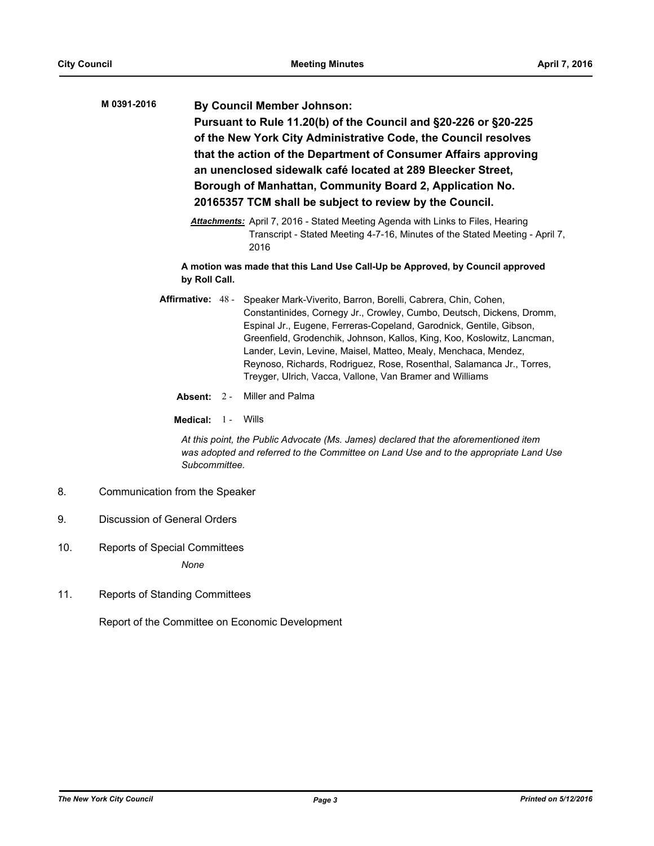| M 0391-2016 | <b>By Council Member Johnson:</b>                               |
|-------------|-----------------------------------------------------------------|
|             | Pursuant to Rule 11.20(b) of the Council and §20-226 or §20-225 |
|             | of the New York City Administrative Code, the Council resolves  |
|             | that the action of the Department of Consumer Affairs approving |
|             | an unenclosed sidewalk café located at 289 Bleecker Street,     |
|             | Borough of Manhattan, Community Board 2, Application No.        |
|             | 20165357 TCM shall be subject to review by the Council.         |
|             |                                                                 |

*Attachments:* April 7, 2016 - Stated Meeting Agenda with Links to Files, Hearing Transcript - Stated Meeting 4-7-16, Minutes of the Stated Meeting - April 7, 2016

**A motion was made that this Land Use Call-Up be Approved, by Council approved by Roll Call.**

- Affirmative: 48 Speaker Mark-Viverito, Barron, Borelli, Cabrera, Chin, Cohen, Constantinides, Cornegy Jr., Crowley, Cumbo, Deutsch, Dickens, Dromm, Espinal Jr., Eugene, Ferreras-Copeland, Garodnick, Gentile, Gibson, Greenfield, Grodenchik, Johnson, Kallos, King, Koo, Koslowitz, Lancman, Lander, Levin, Levine, Maisel, Matteo, Mealy, Menchaca, Mendez, Reynoso, Richards, Rodriguez, Rose, Rosenthal, Salamanca Jr., Torres, Treyger, Ulrich, Vacca, Vallone, Van Bramer and Williams
	- **Absent:** 2 Miller and Palma

**Medical:** 1 - Wills

*At this point, the Public Advocate (Ms. James) declared that the aforementioned item was adopted and referred to the Committee on Land Use and to the appropriate Land Use Subcommittee.*

- 8. Communication from the Speaker
- 9. Discussion of General Orders
- 10. Reports of Special Committees *None*
- 11. Reports of Standing Committees

Report of the Committee on Economic Development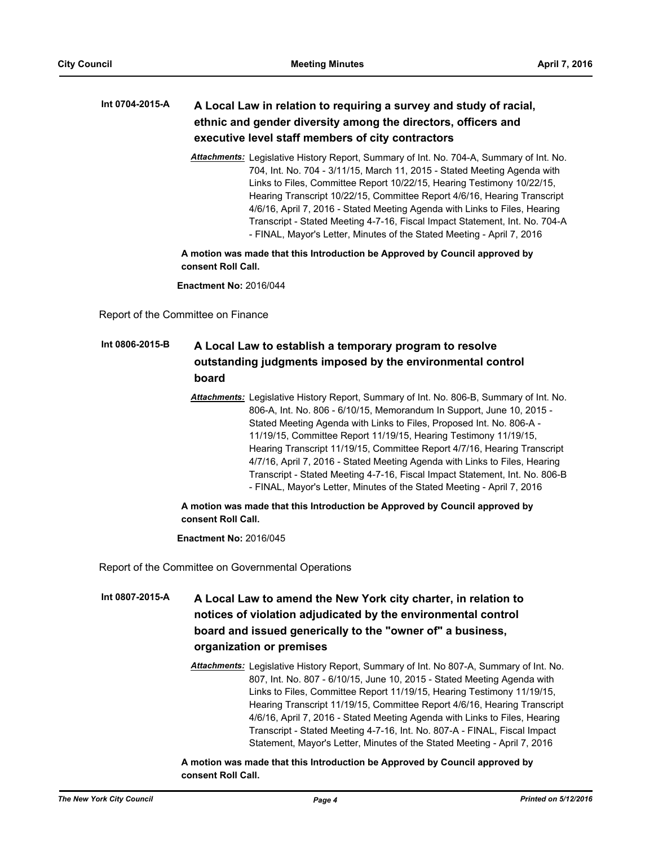#### **A Local Law in relation to requiring a survey and study of racial, ethnic and gender diversity among the directors, officers and executive level staff members of city contractors Int 0704-2015-A**

*Attachments:* Legislative History Report, Summary of Int. No. 704-A, Summary of Int. No. 704, Int. No. 704 - 3/11/15, March 11, 2015 - Stated Meeting Agenda with Links to Files, Committee Report 10/22/15, Hearing Testimony 10/22/15, Hearing Transcript 10/22/15, Committee Report 4/6/16, Hearing Transcript 4/6/16, April 7, 2016 - Stated Meeting Agenda with Links to Files, Hearing Transcript - Stated Meeting 4-7-16, Fiscal Impact Statement, Int. No. 704-A - FINAL, Mayor's Letter, Minutes of the Stated Meeting - April 7, 2016

**A motion was made that this Introduction be Approved by Council approved by consent Roll Call.**

**Enactment No:** 2016/044

Report of the Committee on Finance

#### **A Local Law to establish a temporary program to resolve outstanding judgments imposed by the environmental control board Int 0806-2015-B**

*Attachments:* Legislative History Report, Summary of Int. No. 806-B, Summary of Int. No. 806-A, Int. No. 806 - 6/10/15, Memorandum In Support, June 10, 2015 - Stated Meeting Agenda with Links to Files, Proposed Int. No. 806-A - 11/19/15, Committee Report 11/19/15, Hearing Testimony 11/19/15, Hearing Transcript 11/19/15, Committee Report 4/7/16, Hearing Transcript 4/7/16, April 7, 2016 - Stated Meeting Agenda with Links to Files, Hearing Transcript - Stated Meeting 4-7-16, Fiscal Impact Statement, Int. No. 806-B - FINAL, Mayor's Letter, Minutes of the Stated Meeting - April 7, 2016

# **A motion was made that this Introduction be Approved by Council approved by consent Roll Call.**

**Enactment No:** 2016/045

Report of the Committee on Governmental Operations

- **A Local Law to amend the New York city charter, in relation to notices of violation adjudicated by the environmental control board and issued generically to the "owner of" a business, organization or premises Int 0807-2015-A**
	- *Attachments:* Legislative History Report, Summary of Int. No 807-A, Summary of Int. No. 807, Int. No. 807 - 6/10/15, June 10, 2015 - Stated Meeting Agenda with Links to Files, Committee Report 11/19/15, Hearing Testimony 11/19/15, Hearing Transcript 11/19/15, Committee Report 4/6/16, Hearing Transcript 4/6/16, April 7, 2016 - Stated Meeting Agenda with Links to Files, Hearing Transcript - Stated Meeting 4-7-16, Int. No. 807-A - FINAL, Fiscal Impact Statement, Mayor's Letter, Minutes of the Stated Meeting - April 7, 2016

# **A motion was made that this Introduction be Approved by Council approved by consent Roll Call.**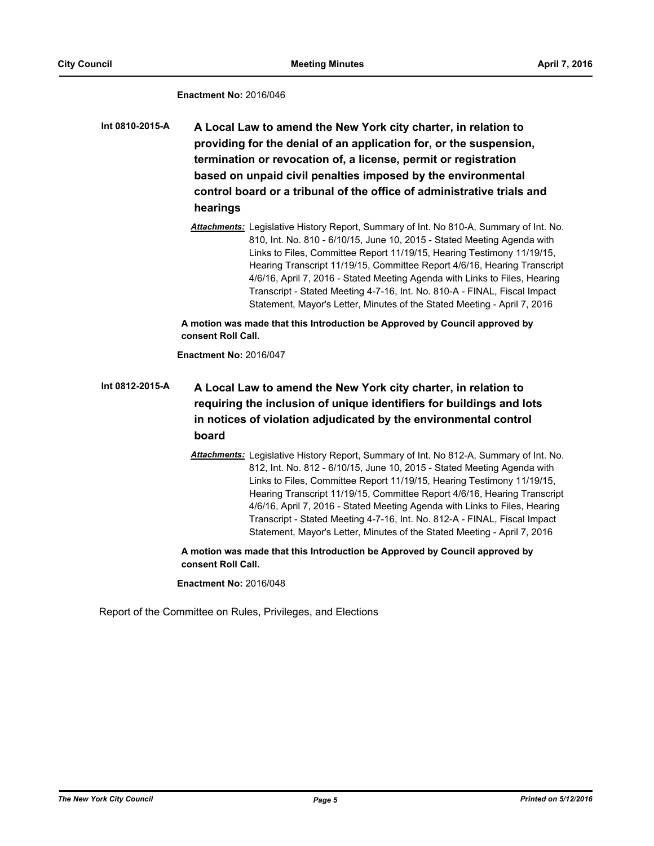# **Enactment No:** 2016/046

**A Local Law to amend the New York city charter, in relation to providing for the denial of an application for, or the suspension, termination or revocation of, a license, permit or registration based on unpaid civil penalties imposed by the environmental control board or a tribunal of the office of administrative trials and hearings Int 0810-2015-A**

> *Attachments:* Legislative History Report, Summary of Int. No 810-A, Summary of Int. No. 810, Int. No. 810 - 6/10/15, June 10, 2015 - Stated Meeting Agenda with Links to Files, Committee Report 11/19/15, Hearing Testimony 11/19/15, Hearing Transcript 11/19/15, Committee Report 4/6/16, Hearing Transcript 4/6/16, April 7, 2016 - Stated Meeting Agenda with Links to Files, Hearing Transcript - Stated Meeting 4-7-16, Int. No. 810-A - FINAL, Fiscal Impact Statement, Mayor's Letter, Minutes of the Stated Meeting - April 7, 2016

**A motion was made that this Introduction be Approved by Council approved by consent Roll Call.**

**Enactment No:** 2016/047

# **A Local Law to amend the New York city charter, in relation to requiring the inclusion of unique identifiers for buildings and lots in notices of violation adjudicated by the environmental control board Int 0812-2015-A**

*Attachments:* Legislative History Report, Summary of Int. No 812-A, Summary of Int. No. 812, Int. No. 812 - 6/10/15, June 10, 2015 - Stated Meeting Agenda with Links to Files, Committee Report 11/19/15, Hearing Testimony 11/19/15, Hearing Transcript 11/19/15, Committee Report 4/6/16, Hearing Transcript 4/6/16, April 7, 2016 - Stated Meeting Agenda with Links to Files, Hearing Transcript - Stated Meeting 4-7-16, Int. No. 812-A - FINAL, Fiscal Impact Statement, Mayor's Letter, Minutes of the Stated Meeting - April 7, 2016

**A motion was made that this Introduction be Approved by Council approved by consent Roll Call.**

**Enactment No:** 2016/048

Report of the Committee on Rules, Privileges, and Elections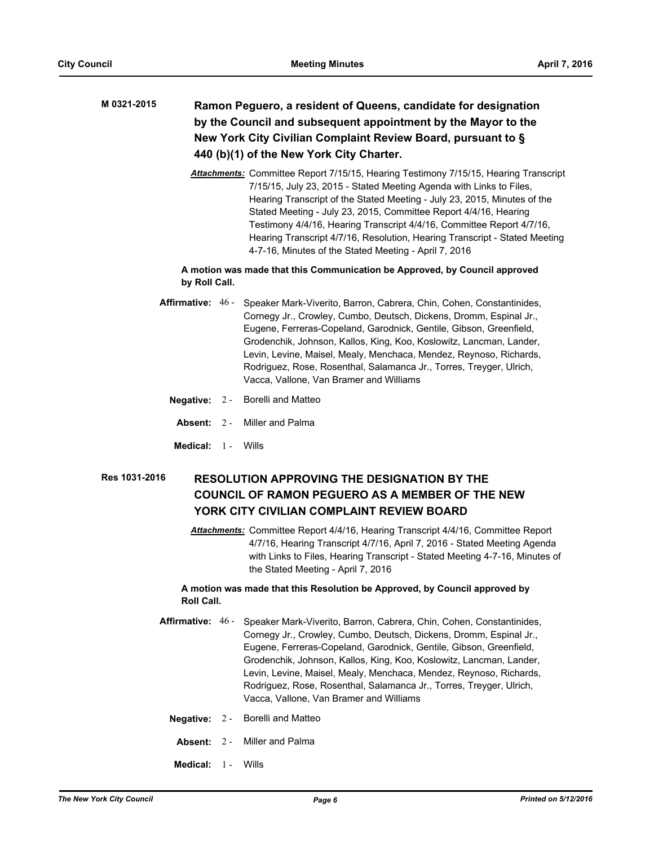# **Ramon Peguero, a resident of Queens, candidate for designation by the Council and subsequent appointment by the Mayor to the New York City Civilian Complaint Review Board, pursuant to § 440 (b)(1) of the New York City Charter. M 0321-2015**

*Attachments:* Committee Report 7/15/15, Hearing Testimony 7/15/15, Hearing Transcript 7/15/15, July 23, 2015 - Stated Meeting Agenda with Links to Files, Hearing Transcript of the Stated Meeting - July 23, 2015, Minutes of the Stated Meeting - July 23, 2015, Committee Report 4/4/16, Hearing Testimony 4/4/16, Hearing Transcript 4/4/16, Committee Report 4/7/16, Hearing Transcript 4/7/16, Resolution, Hearing Transcript - Stated Meeting 4-7-16, Minutes of the Stated Meeting - April 7, 2016

# **A motion was made that this Communication be Approved, by Council approved by Roll Call.**

- **Affirmative:** Speaker Mark-Viverito, Barron, Cabrera, Chin, Cohen, Constantinides, Cornegy Jr., Crowley, Cumbo, Deutsch, Dickens, Dromm, Espinal Jr., Eugene, Ferreras-Copeland, Garodnick, Gentile, Gibson, Greenfield, Grodenchik, Johnson, Kallos, King, Koo, Koslowitz, Lancman, Lander, Levin, Levine, Maisel, Mealy, Menchaca, Mendez, Reynoso, Richards, Rodriguez, Rose, Rosenthal, Salamanca Jr., Torres, Treyger, Ulrich, Vacca, Vallone, Van Bramer and Williams Affirmative: 46 -
	- **Negative:** 2 Borelli and Matteo
	- **Absent:** 2 Miller and Palma
	- **Medical:** 1 Wills

#### **RESOLUTION APPROVING THE DESIGNATION BY THE COUNCIL OF RAMON PEGUERO AS A MEMBER OF THE NEW YORK CITY CIVILIAN COMPLAINT REVIEW BOARD Res 1031-2016**

*Attachments:* Committee Report 4/4/16, Hearing Transcript 4/4/16, Committee Report 4/7/16, Hearing Transcript 4/7/16, April 7, 2016 - Stated Meeting Agenda with Links to Files, Hearing Transcript - Stated Meeting 4-7-16, Minutes of the Stated Meeting - April 7, 2016

# **A motion was made that this Resolution be Approved, by Council approved by Roll Call.**

- **Affirmative:** Speaker Mark-Viverito, Barron, Cabrera, Chin, Cohen, Constantinides, Cornegy Jr., Crowley, Cumbo, Deutsch, Dickens, Dromm, Espinal Jr., Eugene, Ferreras-Copeland, Garodnick, Gentile, Gibson, Greenfield, Grodenchik, Johnson, Kallos, King, Koo, Koslowitz, Lancman, Lander, Levin, Levine, Maisel, Mealy, Menchaca, Mendez, Reynoso, Richards, Rodriguez, Rose, Rosenthal, Salamanca Jr., Torres, Treyger, Ulrich, Vacca, Vallone, Van Bramer and Williams Affirmative: 46 -
	- **Negative:** 2 Borelli and Matteo
	- **Absent:** 2 Miller and Palma
	- **Medical:** 1 Wills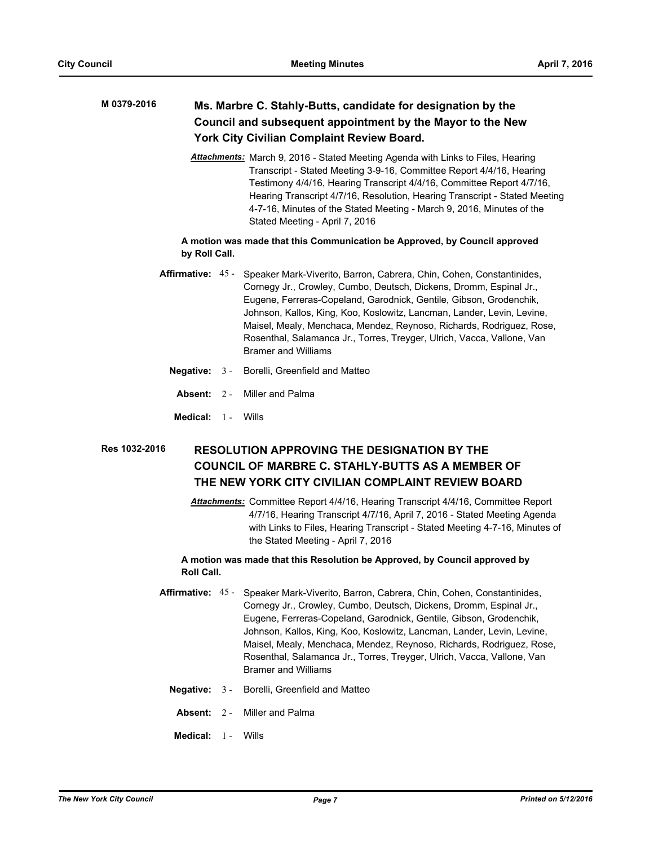#### **Ms. Marbre C. Stahly-Butts, candidate for designation by the Council and subsequent appointment by the Mayor to the New York City Civilian Complaint Review Board. M 0379-2016**

*Attachments:* March 9, 2016 - Stated Meeting Agenda with Links to Files, Hearing Transcript - Stated Meeting 3-9-16, Committee Report 4/4/16, Hearing Testimony 4/4/16, Hearing Transcript 4/4/16, Committee Report 4/7/16, Hearing Transcript 4/7/16, Resolution, Hearing Transcript - Stated Meeting 4-7-16, Minutes of the Stated Meeting - March 9, 2016, Minutes of the Stated Meeting - April 7, 2016

# **A motion was made that this Communication be Approved, by Council approved by Roll Call.**

- Affirmative: 45 Speaker Mark-Viverito, Barron, Cabrera, Chin, Cohen, Constantinides, Cornegy Jr., Crowley, Cumbo, Deutsch, Dickens, Dromm, Espinal Jr., Eugene, Ferreras-Copeland, Garodnick, Gentile, Gibson, Grodenchik, Johnson, Kallos, King, Koo, Koslowitz, Lancman, Lander, Levin, Levine, Maisel, Mealy, Menchaca, Mendez, Reynoso, Richards, Rodriguez, Rose, Rosenthal, Salamanca Jr., Torres, Treyger, Ulrich, Vacca, Vallone, Van Bramer and Williams
	- **Negative:** 3 Borelli, Greenfield and Matteo
	- **Absent:** 2 Miller and Palma
	- **Medical:** 1 Wills

## **RESOLUTION APPROVING THE DESIGNATION BY THE COUNCIL OF MARBRE C. STAHLY-BUTTS AS A MEMBER OF THE NEW YORK CITY CIVILIAN COMPLAINT REVIEW BOARD Res 1032-2016**

*Attachments:* Committee Report 4/4/16, Hearing Transcript 4/4/16, Committee Report 4/7/16, Hearing Transcript 4/7/16, April 7, 2016 - Stated Meeting Agenda with Links to Files, Hearing Transcript - Stated Meeting 4-7-16, Minutes of the Stated Meeting - April 7, 2016

## **A motion was made that this Resolution be Approved, by Council approved by Roll Call.**

- Affirmative: 45 Speaker Mark-Viverito, Barron, Cabrera, Chin, Cohen, Constantinides, Cornegy Jr., Crowley, Cumbo, Deutsch, Dickens, Dromm, Espinal Jr., Eugene, Ferreras-Copeland, Garodnick, Gentile, Gibson, Grodenchik, Johnson, Kallos, King, Koo, Koslowitz, Lancman, Lander, Levin, Levine, Maisel, Mealy, Menchaca, Mendez, Reynoso, Richards, Rodriguez, Rose, Rosenthal, Salamanca Jr., Torres, Treyger, Ulrich, Vacca, Vallone, Van Bramer and Williams
	- **Negative:** 3 Borelli, Greenfield and Matteo
	- **Absent:** 2 Miller and Palma
	- **Medical:** 1 Wills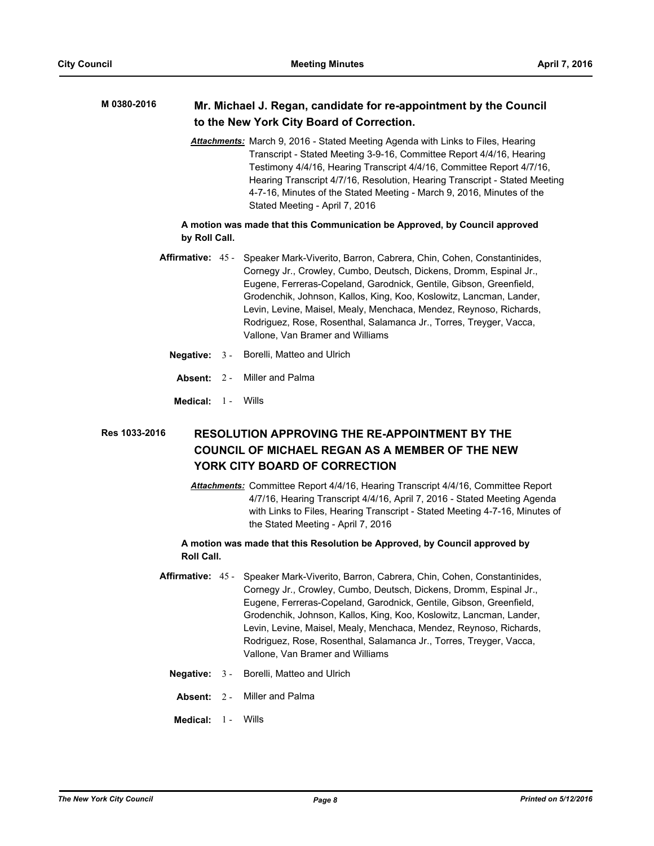#### **Mr. Michael J. Regan, candidate for re-appointment by the Council to the New York City Board of Correction. M 0380-2016**

*Attachments:* March 9, 2016 - Stated Meeting Agenda with Links to Files, Hearing Transcript - Stated Meeting 3-9-16, Committee Report 4/4/16, Hearing Testimony 4/4/16, Hearing Transcript 4/4/16, Committee Report 4/7/16, Hearing Transcript 4/7/16, Resolution, Hearing Transcript - Stated Meeting 4-7-16, Minutes of the Stated Meeting - March 9, 2016, Minutes of the Stated Meeting - April 7, 2016

# **A motion was made that this Communication be Approved, by Council approved by Roll Call.**

- Affirmative: 45 Speaker Mark-Viverito, Barron, Cabrera, Chin, Cohen, Constantinides, Cornegy Jr., Crowley, Cumbo, Deutsch, Dickens, Dromm, Espinal Jr., Eugene, Ferreras-Copeland, Garodnick, Gentile, Gibson, Greenfield, Grodenchik, Johnson, Kallos, King, Koo, Koslowitz, Lancman, Lander, Levin, Levine, Maisel, Mealy, Menchaca, Mendez, Reynoso, Richards, Rodriguez, Rose, Rosenthal, Salamanca Jr., Torres, Treyger, Vacca, Vallone, Van Bramer and Williams
	- **Negative:** 3 Borelli, Matteo and Ulrich
		- **Absent:** 2 Miller and Palma
	- **Medical:** 1 Wills

## **RESOLUTION APPROVING THE RE-APPOINTMENT BY THE COUNCIL OF MICHAEL REGAN AS A MEMBER OF THE NEW YORK CITY BOARD OF CORRECTION Res 1033-2016**

*Attachments:* Committee Report 4/4/16, Hearing Transcript 4/4/16, Committee Report 4/7/16, Hearing Transcript 4/4/16, April 7, 2016 - Stated Meeting Agenda with Links to Files, Hearing Transcript - Stated Meeting 4-7-16, Minutes of the Stated Meeting - April 7, 2016

## **A motion was made that this Resolution be Approved, by Council approved by Roll Call.**

- **Affirmative:** Speaker Mark-Viverito, Barron, Cabrera, Chin, Cohen, Constantinides, Cornegy Jr., Crowley, Cumbo, Deutsch, Dickens, Dromm, Espinal Jr., Eugene, Ferreras-Copeland, Garodnick, Gentile, Gibson, Greenfield, Grodenchik, Johnson, Kallos, King, Koo, Koslowitz, Lancman, Lander, Levin, Levine, Maisel, Mealy, Menchaca, Mendez, Reynoso, Richards, Rodriguez, Rose, Rosenthal, Salamanca Jr., Torres, Treyger, Vacca, Vallone, Van Bramer and Williams Affirmative: 45 -
	- **Negative:** 3 Borelli, Matteo and Ulrich
		- **Absent:** 2 Miller and Palma
	- **Medical:** 1 Wills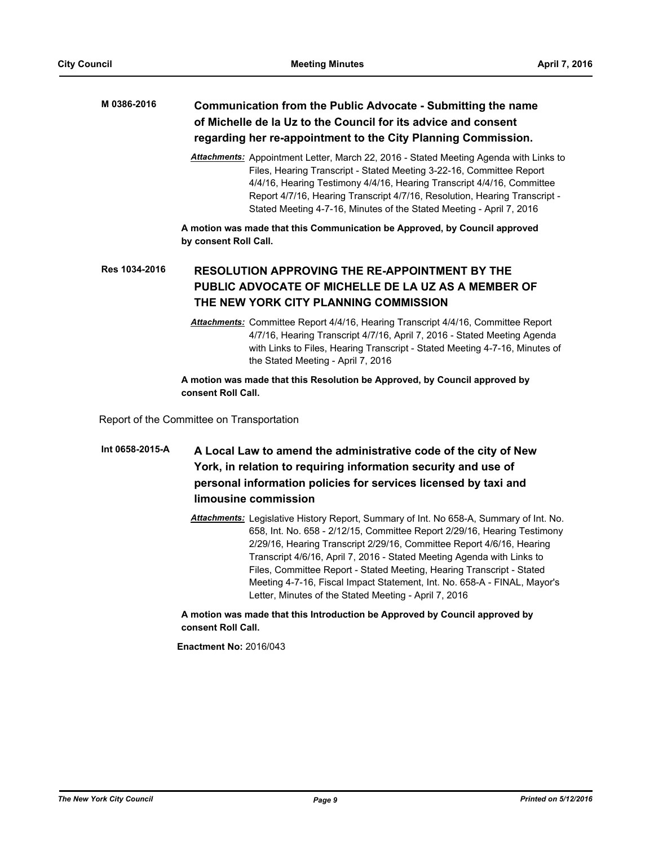## **Communication from the Public Advocate - Submitting the name of Michelle de la Uz to the Council for its advice and consent regarding her re-appointment to the City Planning Commission. M 0386-2016**

*Attachments:* Appointment Letter, March 22, 2016 - Stated Meeting Agenda with Links to Files, Hearing Transcript - Stated Meeting 3-22-16, Committee Report 4/4/16, Hearing Testimony 4/4/16, Hearing Transcript 4/4/16, Committee Report 4/7/16, Hearing Transcript 4/7/16, Resolution, Hearing Transcript - Stated Meeting 4-7-16, Minutes of the Stated Meeting - April 7, 2016

**A motion was made that this Communication be Approved, by Council approved by consent Roll Call.**

## **RESOLUTION APPROVING THE RE-APPOINTMENT BY THE PUBLIC ADVOCATE OF MICHELLE DE LA UZ AS A MEMBER OF THE NEW YORK CITY PLANNING COMMISSION Res 1034-2016**

*Attachments:* Committee Report 4/4/16, Hearing Transcript 4/4/16, Committee Report 4/7/16, Hearing Transcript 4/7/16, April 7, 2016 - Stated Meeting Agenda with Links to Files, Hearing Transcript - Stated Meeting 4-7-16, Minutes of the Stated Meeting - April 7, 2016

**A motion was made that this Resolution be Approved, by Council approved by consent Roll Call.**

Report of the Committee on Transportation

# **A Local Law to amend the administrative code of the city of New York, in relation to requiring information security and use of personal information policies for services licensed by taxi and limousine commission Int 0658-2015-A**

*Attachments:* Legislative History Report, Summary of Int. No 658-A, Summary of Int. No. 658, Int. No. 658 - 2/12/15, Committee Report 2/29/16, Hearing Testimony 2/29/16, Hearing Transcript 2/29/16, Committee Report 4/6/16, Hearing Transcript 4/6/16, April 7, 2016 - Stated Meeting Agenda with Links to Files, Committee Report - Stated Meeting, Hearing Transcript - Stated Meeting 4-7-16, Fiscal Impact Statement, Int. No. 658-A - FINAL, Mayor's Letter, Minutes of the Stated Meeting - April 7, 2016

**A motion was made that this Introduction be Approved by Council approved by consent Roll Call.**

**Enactment No:** 2016/043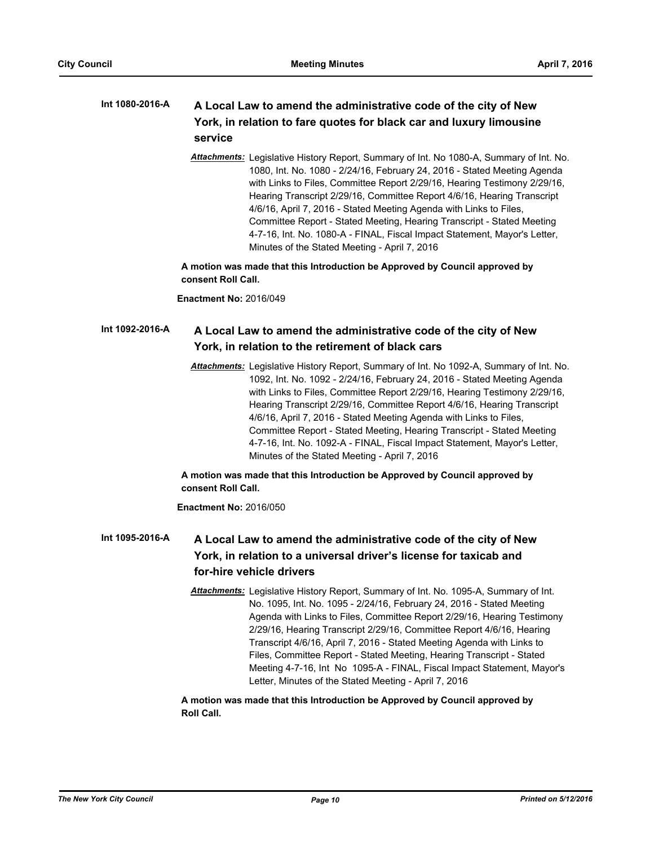#### **A Local Law to amend the administrative code of the city of New York, in relation to fare quotes for black car and luxury limousine service Int 1080-2016-A**

*Attachments:* Legislative History Report, Summary of Int. No 1080-A, Summary of Int. No. 1080, Int. No. 1080 - 2/24/16, February 24, 2016 - Stated Meeting Agenda with Links to Files, Committee Report 2/29/16, Hearing Testimony 2/29/16, Hearing Transcript 2/29/16, Committee Report 4/6/16, Hearing Transcript 4/6/16, April 7, 2016 - Stated Meeting Agenda with Links to Files, Committee Report - Stated Meeting, Hearing Transcript - Stated Meeting 4-7-16, Int. No. 1080-A - FINAL, Fiscal Impact Statement, Mayor's Letter, Minutes of the Stated Meeting - April 7, 2016

**A motion was made that this Introduction be Approved by Council approved by consent Roll Call.**

**Enactment No:** 2016/049

#### **A Local Law to amend the administrative code of the city of New York, in relation to the retirement of black cars Int 1092-2016-A**

*Attachments:* Legislative History Report, Summary of Int. No 1092-A, Summary of Int. No. 1092, Int. No. 1092 - 2/24/16, February 24, 2016 - Stated Meeting Agenda with Links to Files, Committee Report 2/29/16, Hearing Testimony 2/29/16, Hearing Transcript 2/29/16, Committee Report 4/6/16, Hearing Transcript 4/6/16, April 7, 2016 - Stated Meeting Agenda with Links to Files, Committee Report - Stated Meeting, Hearing Transcript - Stated Meeting 4-7-16, Int. No. 1092-A - FINAL, Fiscal Impact Statement, Mayor's Letter, Minutes of the Stated Meeting - April 7, 2016

# **A motion was made that this Introduction be Approved by Council approved by consent Roll Call.**

## **Enactment No:** 2016/050

#### **A Local Law to amend the administrative code of the city of New York, in relation to a universal driver's license for taxicab and for-hire vehicle drivers Int 1095-2016-A**

*Attachments:* Legislative History Report, Summary of Int. No. 1095-A, Summary of Int. No. 1095, Int. No. 1095 - 2/24/16, February 24, 2016 - Stated Meeting Agenda with Links to Files, Committee Report 2/29/16, Hearing Testimony 2/29/16, Hearing Transcript 2/29/16, Committee Report 4/6/16, Hearing Transcript 4/6/16, April 7, 2016 - Stated Meeting Agenda with Links to Files, Committee Report - Stated Meeting, Hearing Transcript - Stated Meeting 4-7-16, Int No 1095-A - FINAL, Fiscal Impact Statement, Mayor's Letter, Minutes of the Stated Meeting - April 7, 2016

# **A motion was made that this Introduction be Approved by Council approved by Roll Call.**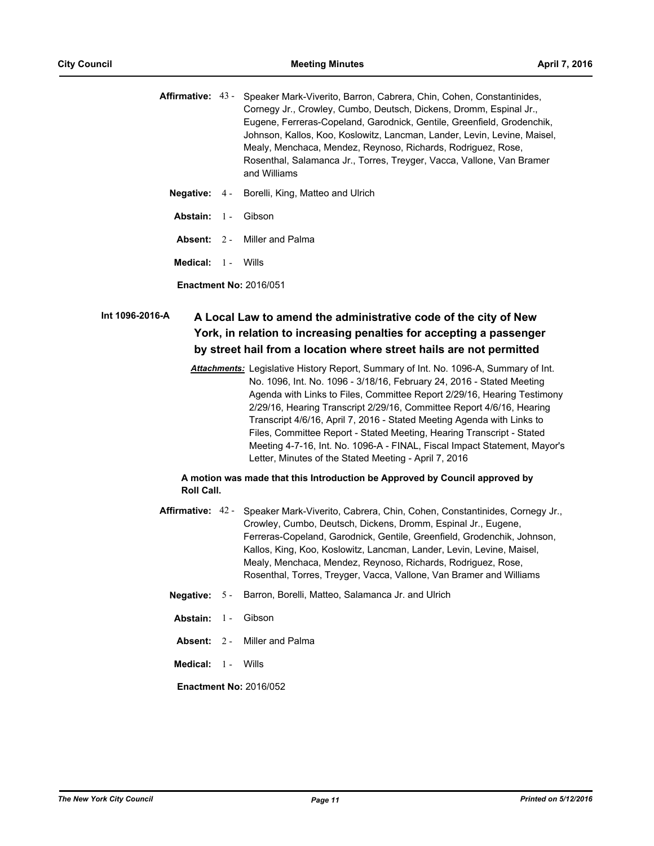|  | <b>Affirmative:</b> 43 - Speaker Mark-Viverito, Barron, Cabrera, Chin, Cohen, Constantinides, |
|--|-----------------------------------------------------------------------------------------------|
|  | Cornegy Jr., Crowley, Cumbo, Deutsch, Dickens, Dromm, Espinal Jr.,                            |
|  | Eugene, Ferreras-Copeland, Garodnick, Gentile, Greenfield, Grodenchik,                        |
|  | Johnson, Kallos, Koo, Koslowitz, Lancman, Lander, Levin, Levine, Maisel,                      |
|  | Mealy, Menchaca, Mendez, Reynoso, Richards, Rodriguez, Rose,                                  |
|  | Rosenthal, Salamanca Jr., Torres, Treyger, Vacca, Vallone, Van Bramer                         |
|  | and Williams                                                                                  |
|  |                                                                                               |

- **Negative:** 4 Borelli, King, Matteo and Ulrich
- **Abstain:** 1 Gibson
- **Absent:** 2 Miller and Palma
- **Medical:** 1 Wills

**Enactment No:** 2016/051

# **A Local Law to amend the administrative code of the city of New York, in relation to increasing penalties for accepting a passenger by street hail from a location where street hails are not permitted Int 1096-2016-A**

*Attachments:* Legislative History Report, Summary of Int. No. 1096-A, Summary of Int. No. 1096, Int. No. 1096 - 3/18/16, February 24, 2016 - Stated Meeting Agenda with Links to Files, Committee Report 2/29/16, Hearing Testimony 2/29/16, Hearing Transcript 2/29/16, Committee Report 4/6/16, Hearing Transcript 4/6/16, April 7, 2016 - Stated Meeting Agenda with Links to Files, Committee Report - Stated Meeting, Hearing Transcript - Stated Meeting 4-7-16, Int. No. 1096-A - FINAL, Fiscal Impact Statement, Mayor's Letter, Minutes of the Stated Meeting - April 7, 2016

## **A motion was made that this Introduction be Approved by Council approved by Roll Call.**

- Affirmative: 42 Speaker Mark-Viverito, Cabrera, Chin, Cohen, Constantinides, Cornegy Jr., Crowley, Cumbo, Deutsch, Dickens, Dromm, Espinal Jr., Eugene, Ferreras-Copeland, Garodnick, Gentile, Greenfield, Grodenchik, Johnson, Kallos, King, Koo, Koslowitz, Lancman, Lander, Levin, Levine, Maisel, Mealy, Menchaca, Mendez, Reynoso, Richards, Rodriguez, Rose, Rosenthal, Torres, Treyger, Vacca, Vallone, Van Bramer and Williams
	- **Negative:** 5 Barron, Borelli, Matteo, Salamanca Jr. and Ulrich
	- **Abstain:** 1 Gibson
	- **Absent:** 2 Miller and Palma
	- **Medical:** 1 Wills

**Enactment No:** 2016/052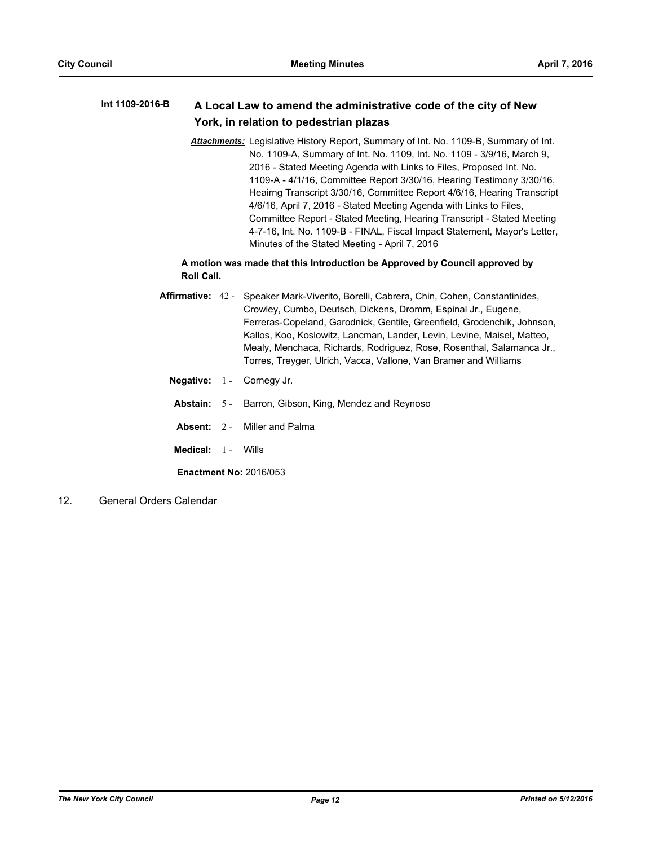#### **A Local Law to amend the administrative code of the city of New York, in relation to pedestrian plazas Int 1109-2016-B**

*Attachments:* Legislative History Report, Summary of Int. No. 1109-B, Summary of Int. No. 1109-A, Summary of Int. No. 1109, Int. No. 1109 - 3/9/16, March 9, 2016 - Stated Meeting Agenda with Links to Files, Proposed Int. No. 1109-A - 4/1/16, Committee Report 3/30/16, Hearing Testimony 3/30/16, Heairng Transcript 3/30/16, Committee Report 4/6/16, Hearing Transcript 4/6/16, April 7, 2016 - Stated Meeting Agenda with Links to Files, Committee Report - Stated Meeting, Hearing Transcript - Stated Meeting 4-7-16, Int. No. 1109-B - FINAL, Fiscal Impact Statement, Mayor's Letter, Minutes of the Stated Meeting - April 7, 2016

# **A motion was made that this Introduction be Approved by Council approved by Roll Call.**

- Affirmative: 42 Speaker Mark-Viverito, Borelli, Cabrera, Chin, Cohen, Constantinides, Crowley, Cumbo, Deutsch, Dickens, Dromm, Espinal Jr., Eugene, Ferreras-Copeland, Garodnick, Gentile, Greenfield, Grodenchik, Johnson, Kallos, Koo, Koslowitz, Lancman, Lander, Levin, Levine, Maisel, Matteo, Mealy, Menchaca, Richards, Rodriguez, Rose, Rosenthal, Salamanca Jr., Torres, Treyger, Ulrich, Vacca, Vallone, Van Bramer and Williams
	- **Negative:** 1 Cornegy Jr.
	- **Abstain:** 5 Barron, Gibson, King, Mendez and Reynoso
	- **Absent:** 2 Miller and Palma
	- **Medical:** 1 Wills

**Enactment No:** 2016/053

12. General Orders Calendar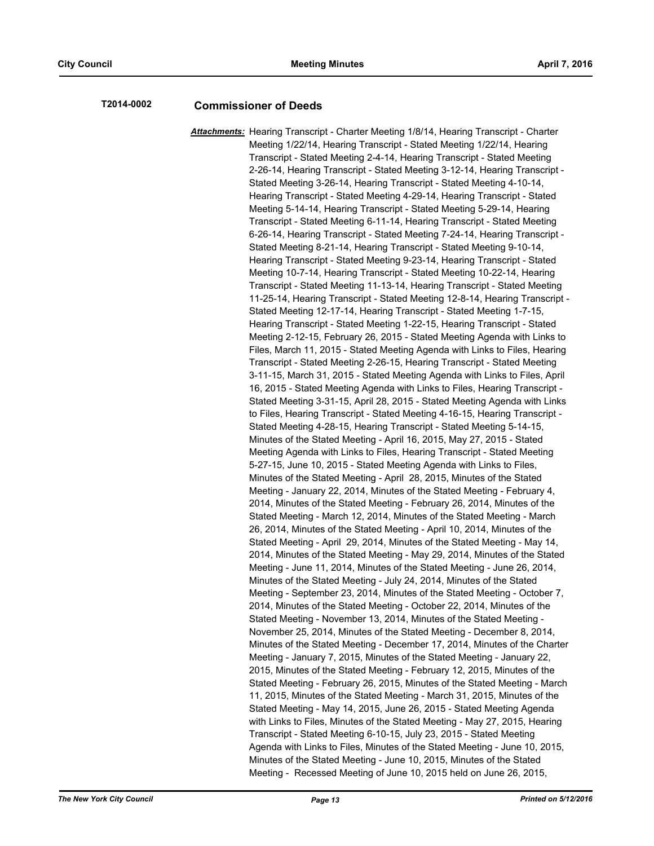# **T2014-0002 Commissioner of Deeds**

*Attachments:* Hearing Transcript - Charter Meeting 1/8/14, Hearing Transcript - Charter Meeting 1/22/14, Hearing Transcript - Stated Meeting 1/22/14, Hearing Transcript - Stated Meeting 2-4-14, Hearing Transcript - Stated Meeting 2-26-14, Hearing Transcript - Stated Meeting 3-12-14, Hearing Transcript - Stated Meeting 3-26-14, Hearing Transcript - Stated Meeting 4-10-14, Hearing Transcript - Stated Meeting 4-29-14, Hearing Transcript - Stated Meeting 5-14-14, Hearing Transcript - Stated Meeting 5-29-14, Hearing Transcript - Stated Meeting 6-11-14, Hearing Transcript - Stated Meeting 6-26-14, Hearing Transcript - Stated Meeting 7-24-14, Hearing Transcript - Stated Meeting 8-21-14, Hearing Transcript - Stated Meeting 9-10-14, Hearing Transcript - Stated Meeting 9-23-14, Hearing Transcript - Stated Meeting 10-7-14, Hearing Transcript - Stated Meeting 10-22-14, Hearing Transcript - Stated Meeting 11-13-14, Hearing Transcript - Stated Meeting 11-25-14, Hearing Transcript - Stated Meeting 12-8-14, Hearing Transcript - Stated Meeting 12-17-14, Hearing Transcript - Stated Meeting 1-7-15, Hearing Transcript - Stated Meeting 1-22-15, Hearing Transcript - Stated Meeting 2-12-15, February 26, 2015 - Stated Meeting Agenda with Links to Files, March 11, 2015 - Stated Meeting Agenda with Links to Files, Hearing Transcript - Stated Meeting 2-26-15, Hearing Transcript - Stated Meeting 3-11-15, March 31, 2015 - Stated Meeting Agenda with Links to Files, April 16, 2015 - Stated Meeting Agenda with Links to Files, Hearing Transcript - Stated Meeting 3-31-15, April 28, 2015 - Stated Meeting Agenda with Links to Files, Hearing Transcript - Stated Meeting 4-16-15, Hearing Transcript - Stated Meeting 4-28-15, Hearing Transcript - Stated Meeting 5-14-15, Minutes of the Stated Meeting - April 16, 2015, May 27, 2015 - Stated Meeting Agenda with Links to Files, Hearing Transcript - Stated Meeting 5-27-15, June 10, 2015 - Stated Meeting Agenda with Links to Files, Minutes of the Stated Meeting - April 28, 2015, Minutes of the Stated Meeting - January 22, 2014, Minutes of the Stated Meeting - February 4, 2014, Minutes of the Stated Meeting - February 26, 2014, Minutes of the Stated Meeting - March 12, 2014, Minutes of the Stated Meeting - March 26, 2014, Minutes of the Stated Meeting - April 10, 2014, Minutes of the Stated Meeting - April 29, 2014, Minutes of the Stated Meeting - May 14, 2014, Minutes of the Stated Meeting - May 29, 2014, Minutes of the Stated Meeting - June 11, 2014, Minutes of the Stated Meeting - June 26, 2014, Minutes of the Stated Meeting - July 24, 2014, Minutes of the Stated Meeting - September 23, 2014, Minutes of the Stated Meeting - October 7, 2014, Minutes of the Stated Meeting - October 22, 2014, Minutes of the Stated Meeting - November 13, 2014, Minutes of the Stated Meeting - November 25, 2014, Minutes of the Stated Meeting - December 8, 2014, Minutes of the Stated Meeting - December 17, 2014, Minutes of the Charter Meeting - January 7, 2015, Minutes of the Stated Meeting - January 22, 2015, Minutes of the Stated Meeting - February 12, 2015, Minutes of the Stated Meeting - February 26, 2015, Minutes of the Stated Meeting - March 11, 2015, Minutes of the Stated Meeting - March 31, 2015, Minutes of the Stated Meeting - May 14, 2015, June 26, 2015 - Stated Meeting Agenda with Links to Files, Minutes of the Stated Meeting - May 27, 2015, Hearing Transcript - Stated Meeting 6-10-15, July 23, 2015 - Stated Meeting Agenda with Links to Files, Minutes of the Stated Meeting - June 10, 2015, Minutes of the Stated Meeting - June 10, 2015, Minutes of the Stated Meeting - Recessed Meeting of June 10, 2015 held on June 26, 2015,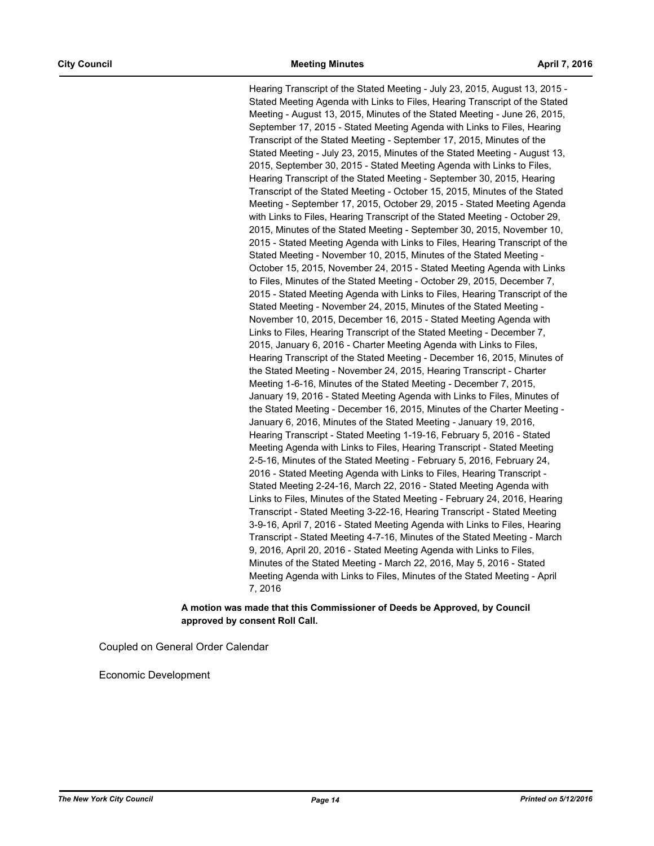Hearing Transcript of the Stated Meeting - July 23, 2015, August 13, 2015 - Stated Meeting Agenda with Links to Files, Hearing Transcript of the Stated Meeting - August 13, 2015, Minutes of the Stated Meeting - June 26, 2015, September 17, 2015 - Stated Meeting Agenda with Links to Files, Hearing Transcript of the Stated Meeting - September 17, 2015, Minutes of the Stated Meeting - July 23, 2015, Minutes of the Stated Meeting - August 13, 2015, September 30, 2015 - Stated Meeting Agenda with Links to Files, Hearing Transcript of the Stated Meeting - September 30, 2015, Hearing Transcript of the Stated Meeting - October 15, 2015, Minutes of the Stated Meeting - September 17, 2015, October 29, 2015 - Stated Meeting Agenda with Links to Files, Hearing Transcript of the Stated Meeting - October 29, 2015, Minutes of the Stated Meeting - September 30, 2015, November 10, 2015 - Stated Meeting Agenda with Links to Files, Hearing Transcript of the Stated Meeting - November 10, 2015, Minutes of the Stated Meeting - October 15, 2015, November 24, 2015 - Stated Meeting Agenda with Links to Files, Minutes of the Stated Meeting - October 29, 2015, December 7, 2015 - Stated Meeting Agenda with Links to Files, Hearing Transcript of the Stated Meeting - November 24, 2015, Minutes of the Stated Meeting - November 10, 2015, December 16, 2015 - Stated Meeting Agenda with Links to Files, Hearing Transcript of the Stated Meeting - December 7, 2015, January 6, 2016 - Charter Meeting Agenda with Links to Files, Hearing Transcript of the Stated Meeting - December 16, 2015, Minutes of the Stated Meeting - November 24, 2015, Hearing Transcript - Charter Meeting 1-6-16, Minutes of the Stated Meeting - December 7, 2015, January 19, 2016 - Stated Meeting Agenda with Links to Files, Minutes of the Stated Meeting - December 16, 2015, Minutes of the Charter Meeting - January 6, 2016, Minutes of the Stated Meeting - January 19, 2016, Hearing Transcript - Stated Meeting 1-19-16, February 5, 2016 - Stated Meeting Agenda with Links to Files, Hearing Transcript - Stated Meeting 2-5-16, Minutes of the Stated Meeting - February 5, 2016, February 24, 2016 - Stated Meeting Agenda with Links to Files, Hearing Transcript - Stated Meeting 2-24-16, March 22, 2016 - Stated Meeting Agenda with Links to Files, Minutes of the Stated Meeting - February 24, 2016, Hearing Transcript - Stated Meeting 3-22-16, Hearing Transcript - Stated Meeting 3-9-16, April 7, 2016 - Stated Meeting Agenda with Links to Files, Hearing Transcript - Stated Meeting 4-7-16, Minutes of the Stated Meeting - March 9, 2016, April 20, 2016 - Stated Meeting Agenda with Links to Files, Minutes of the Stated Meeting - March 22, 2016, May 5, 2016 - Stated Meeting Agenda with Links to Files, Minutes of the Stated Meeting - April 7, 2016

# **A motion was made that this Commissioner of Deeds be Approved, by Council approved by consent Roll Call.**

Coupled on General Order Calendar

Economic Development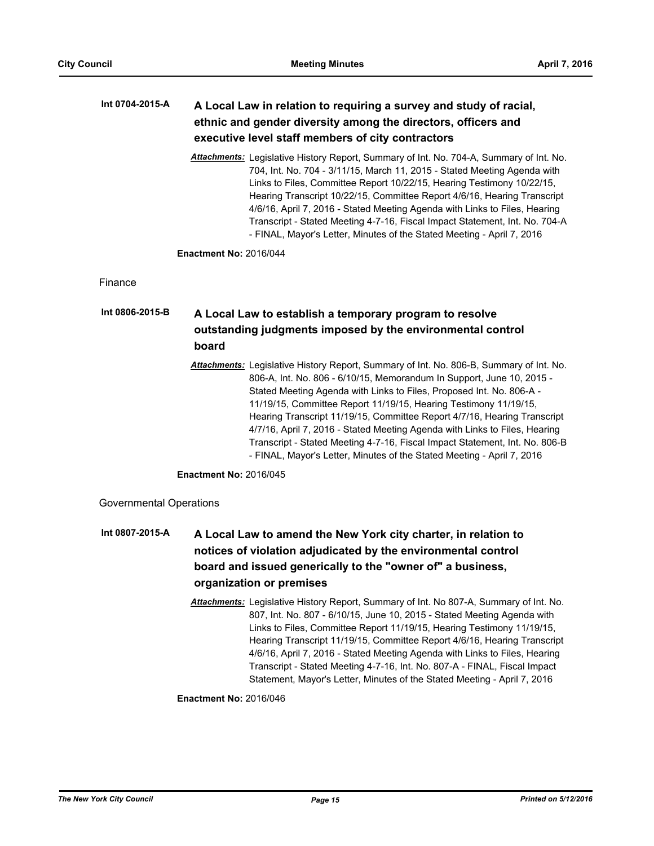## **A Local Law in relation to requiring a survey and study of racial, ethnic and gender diversity among the directors, officers and executive level staff members of city contractors Int 0704-2015-A**

*Attachments:* Legislative History Report, Summary of Int. No. 704-A, Summary of Int. No. 704, Int. No. 704 - 3/11/15, March 11, 2015 - Stated Meeting Agenda with Links to Files, Committee Report 10/22/15, Hearing Testimony 10/22/15, Hearing Transcript 10/22/15, Committee Report 4/6/16, Hearing Transcript 4/6/16, April 7, 2016 - Stated Meeting Agenda with Links to Files, Hearing Transcript - Stated Meeting 4-7-16, Fiscal Impact Statement, Int. No. 704-A - FINAL, Mayor's Letter, Minutes of the Stated Meeting - April 7, 2016

**Enactment No:** 2016/044

Finance

# **A Local Law to establish a temporary program to resolve outstanding judgments imposed by the environmental control board Int 0806-2015-B**

*Attachments:* Legislative History Report, Summary of Int. No. 806-B, Summary of Int. No. 806-A, Int. No. 806 - 6/10/15, Memorandum In Support, June 10, 2015 - Stated Meeting Agenda with Links to Files, Proposed Int. No. 806-A - 11/19/15, Committee Report 11/19/15, Hearing Testimony 11/19/15, Hearing Transcript 11/19/15, Committee Report 4/7/16, Hearing Transcript 4/7/16, April 7, 2016 - Stated Meeting Agenda with Links to Files, Hearing Transcript - Stated Meeting 4-7-16, Fiscal Impact Statement, Int. No. 806-B - FINAL, Mayor's Letter, Minutes of the Stated Meeting - April 7, 2016

**Enactment No:** 2016/045

Governmental Operations

- **A Local Law to amend the New York city charter, in relation to notices of violation adjudicated by the environmental control board and issued generically to the "owner of" a business, organization or premises Int 0807-2015-A**
	- *Attachments:* Legislative History Report, Summary of Int. No 807-A, Summary of Int. No. 807, Int. No. 807 - 6/10/15, June 10, 2015 - Stated Meeting Agenda with Links to Files, Committee Report 11/19/15, Hearing Testimony 11/19/15, Hearing Transcript 11/19/15, Committee Report 4/6/16, Hearing Transcript 4/6/16, April 7, 2016 - Stated Meeting Agenda with Links to Files, Hearing Transcript - Stated Meeting 4-7-16, Int. No. 807-A - FINAL, Fiscal Impact Statement, Mayor's Letter, Minutes of the Stated Meeting - April 7, 2016

# **Enactment No:** 2016/046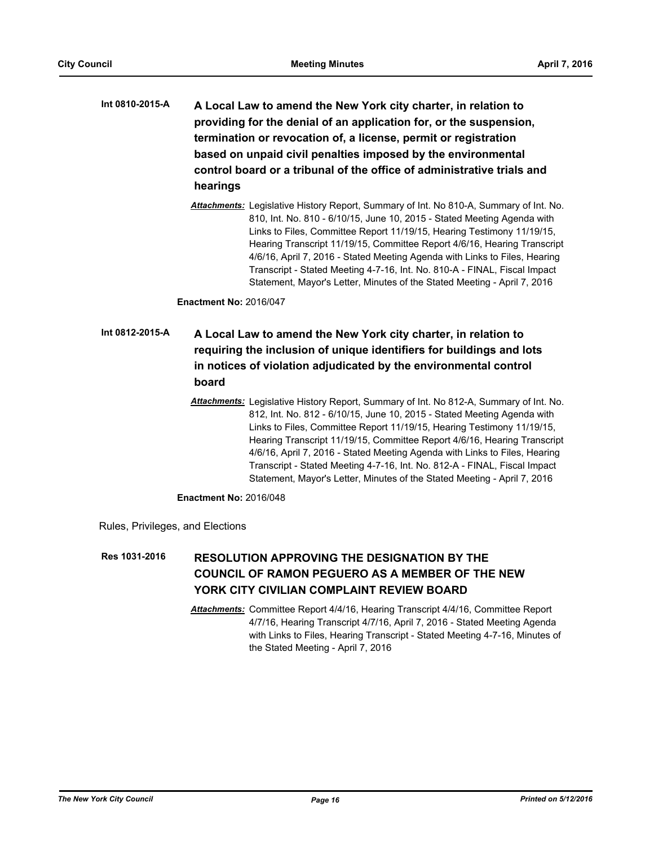- **A Local Law to amend the New York city charter, in relation to providing for the denial of an application for, or the suspension, termination or revocation of, a license, permit or registration based on unpaid civil penalties imposed by the environmental control board or a tribunal of the office of administrative trials and hearings Int 0810-2015-A**
	- *Attachments:* Legislative History Report, Summary of Int. No 810-A, Summary of Int. No. 810, Int. No. 810 - 6/10/15, June 10, 2015 - Stated Meeting Agenda with Links to Files, Committee Report 11/19/15, Hearing Testimony 11/19/15, Hearing Transcript 11/19/15, Committee Report 4/6/16, Hearing Transcript 4/6/16, April 7, 2016 - Stated Meeting Agenda with Links to Files, Hearing Transcript - Stated Meeting 4-7-16, Int. No. 810-A - FINAL, Fiscal Impact Statement, Mayor's Letter, Minutes of the Stated Meeting - April 7, 2016

**Enactment No:** 2016/047

# **A Local Law to amend the New York city charter, in relation to requiring the inclusion of unique identifiers for buildings and lots in notices of violation adjudicated by the environmental control board Int 0812-2015-A**

*Attachments:* Legislative History Report, Summary of Int. No 812-A, Summary of Int. No. 812, Int. No. 812 - 6/10/15, June 10, 2015 - Stated Meeting Agenda with Links to Files, Committee Report 11/19/15, Hearing Testimony 11/19/15, Hearing Transcript 11/19/15, Committee Report 4/6/16, Hearing Transcript 4/6/16, April 7, 2016 - Stated Meeting Agenda with Links to Files, Hearing Transcript - Stated Meeting 4-7-16, Int. No. 812-A - FINAL, Fiscal Impact Statement, Mayor's Letter, Minutes of the Stated Meeting - April 7, 2016

**Enactment No:** 2016/048

Rules, Privileges, and Elections

#### **RESOLUTION APPROVING THE DESIGNATION BY THE COUNCIL OF RAMON PEGUERO AS A MEMBER OF THE NEW YORK CITY CIVILIAN COMPLAINT REVIEW BOARD Res 1031-2016**

*Attachments:* Committee Report 4/4/16, Hearing Transcript 4/4/16, Committee Report 4/7/16, Hearing Transcript 4/7/16, April 7, 2016 - Stated Meeting Agenda with Links to Files, Hearing Transcript - Stated Meeting 4-7-16, Minutes of the Stated Meeting - April 7, 2016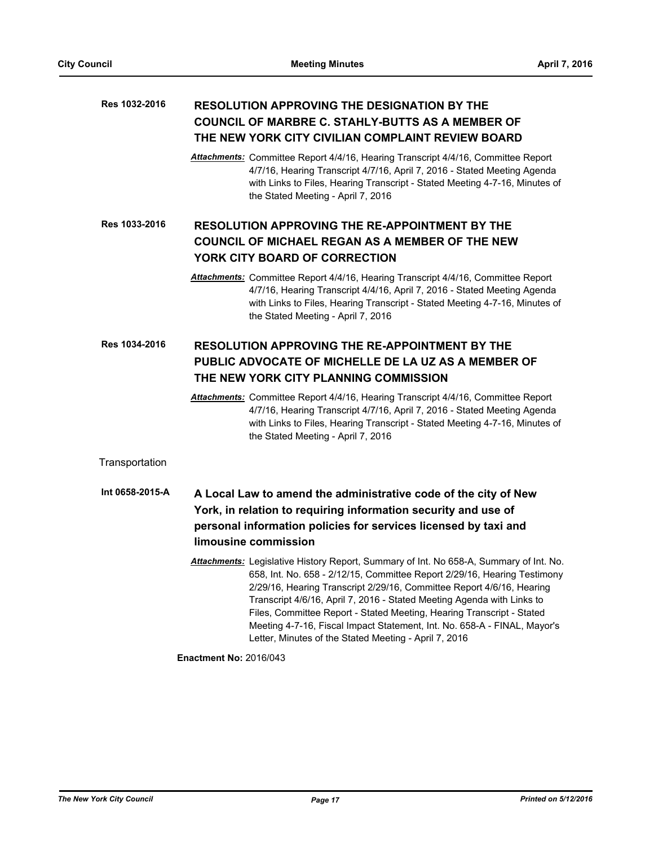## **RESOLUTION APPROVING THE DESIGNATION BY THE COUNCIL OF MARBRE C. STAHLY-BUTTS AS A MEMBER OF THE NEW YORK CITY CIVILIAN COMPLAINT REVIEW BOARD Res 1032-2016**

*Attachments:* Committee Report 4/4/16, Hearing Transcript 4/4/16, Committee Report 4/7/16, Hearing Transcript 4/7/16, April 7, 2016 - Stated Meeting Agenda with Links to Files, Hearing Transcript - Stated Meeting 4-7-16, Minutes of the Stated Meeting - April 7, 2016

**RESOLUTION APPROVING THE RE-APPOINTMENT BY THE COUNCIL OF MICHAEL REGAN AS A MEMBER OF THE NEW YORK CITY BOARD OF CORRECTION Res 1033-2016**

> *Attachments:* Committee Report 4/4/16, Hearing Transcript 4/4/16, Committee Report 4/7/16, Hearing Transcript 4/4/16, April 7, 2016 - Stated Meeting Agenda with Links to Files, Hearing Transcript - Stated Meeting 4-7-16, Minutes of the Stated Meeting - April 7, 2016

### **RESOLUTION APPROVING THE RE-APPOINTMENT BY THE PUBLIC ADVOCATE OF MICHELLE DE LA UZ AS A MEMBER OF THE NEW YORK CITY PLANNING COMMISSION Res 1034-2016**

*Attachments:* Committee Report 4/4/16, Hearing Transcript 4/4/16, Committee Report 4/7/16, Hearing Transcript 4/7/16, April 7, 2016 - Stated Meeting Agenda with Links to Files, Hearing Transcript - Stated Meeting 4-7-16, Minutes of the Stated Meeting - April 7, 2016

**Transportation** 

- **A Local Law to amend the administrative code of the city of New York, in relation to requiring information security and use of personal information policies for services licensed by taxi and limousine commission Int 0658-2015-A**
	- *Attachments:* Legislative History Report, Summary of Int. No 658-A, Summary of Int. No. 658, Int. No. 658 - 2/12/15, Committee Report 2/29/16, Hearing Testimony 2/29/16, Hearing Transcript 2/29/16, Committee Report 4/6/16, Hearing Transcript 4/6/16, April 7, 2016 - Stated Meeting Agenda with Links to Files, Committee Report - Stated Meeting, Hearing Transcript - Stated Meeting 4-7-16, Fiscal Impact Statement, Int. No. 658-A - FINAL, Mayor's Letter, Minutes of the Stated Meeting - April 7, 2016

**Enactment No:** 2016/043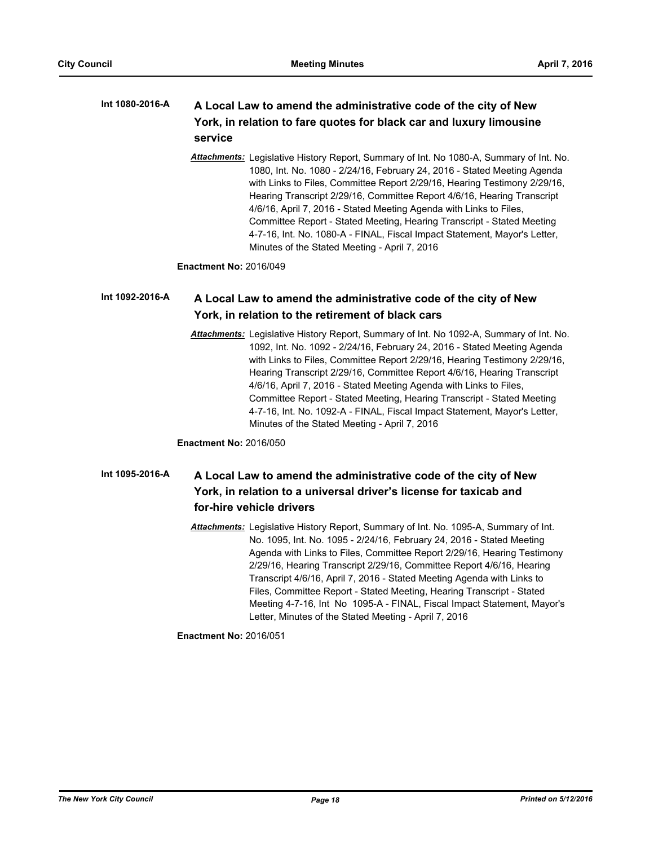#### **A Local Law to amend the administrative code of the city of New York, in relation to fare quotes for black car and luxury limousine service Int 1080-2016-A**

*Attachments:* Legislative History Report, Summary of Int. No 1080-A, Summary of Int. No. 1080, Int. No. 1080 - 2/24/16, February 24, 2016 - Stated Meeting Agenda with Links to Files, Committee Report 2/29/16, Hearing Testimony 2/29/16, Hearing Transcript 2/29/16, Committee Report 4/6/16, Hearing Transcript 4/6/16, April 7, 2016 - Stated Meeting Agenda with Links to Files, Committee Report - Stated Meeting, Hearing Transcript - Stated Meeting 4-7-16, Int. No. 1080-A - FINAL, Fiscal Impact Statement, Mayor's Letter, Minutes of the Stated Meeting - April 7, 2016

**Enactment No:** 2016/049

#### **A Local Law to amend the administrative code of the city of New York, in relation to the retirement of black cars Int 1092-2016-A**

*Attachments:* Legislative History Report, Summary of Int. No 1092-A, Summary of Int. No. 1092, Int. No. 1092 - 2/24/16, February 24, 2016 - Stated Meeting Agenda with Links to Files, Committee Report 2/29/16, Hearing Testimony 2/29/16, Hearing Transcript 2/29/16, Committee Report 4/6/16, Hearing Transcript 4/6/16, April 7, 2016 - Stated Meeting Agenda with Links to Files, Committee Report - Stated Meeting, Hearing Transcript - Stated Meeting 4-7-16, Int. No. 1092-A - FINAL, Fiscal Impact Statement, Mayor's Letter, Minutes of the Stated Meeting - April 7, 2016

**Enactment No:** 2016/050

#### **A Local Law to amend the administrative code of the city of New York, in relation to a universal driver's license for taxicab and for-hire vehicle drivers Int 1095-2016-A**

*Attachments:* Legislative History Report, Summary of Int. No. 1095-A, Summary of Int. No. 1095, Int. No. 1095 - 2/24/16, February 24, 2016 - Stated Meeting Agenda with Links to Files, Committee Report 2/29/16, Hearing Testimony 2/29/16, Hearing Transcript 2/29/16, Committee Report 4/6/16, Hearing Transcript 4/6/16, April 7, 2016 - Stated Meeting Agenda with Links to Files, Committee Report - Stated Meeting, Hearing Transcript - Stated Meeting 4-7-16, Int No 1095-A - FINAL, Fiscal Impact Statement, Mayor's Letter, Minutes of the Stated Meeting - April 7, 2016

**Enactment No:** 2016/051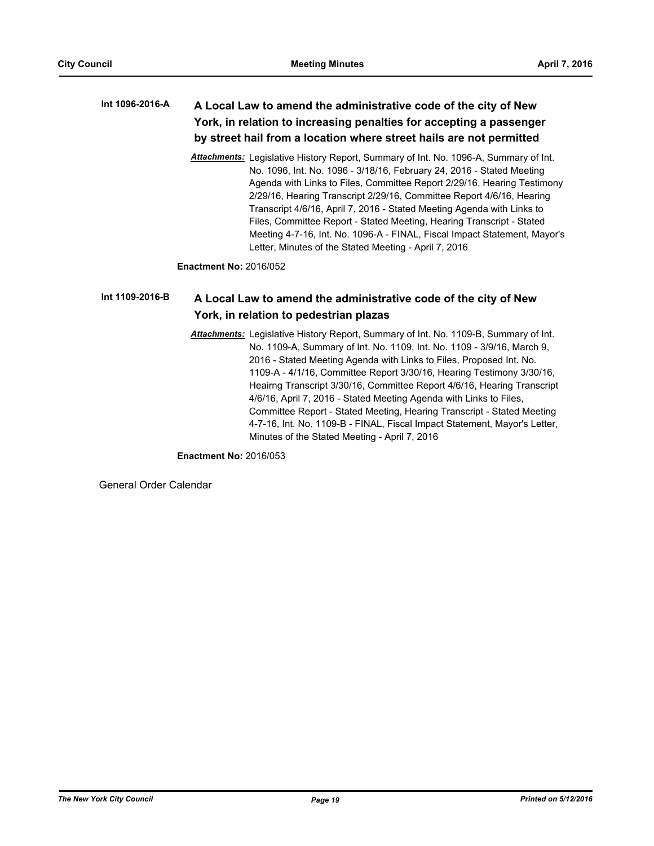### **A Local Law to amend the administrative code of the city of New York, in relation to increasing penalties for accepting a passenger by street hail from a location where street hails are not permitted Int 1096-2016-A**

*Attachments:* Legislative History Report, Summary of Int. No. 1096-A, Summary of Int. No. 1096, Int. No. 1096 - 3/18/16, February 24, 2016 - Stated Meeting Agenda with Links to Files, Committee Report 2/29/16, Hearing Testimony 2/29/16, Hearing Transcript 2/29/16, Committee Report 4/6/16, Hearing Transcript 4/6/16, April 7, 2016 - Stated Meeting Agenda with Links to Files, Committee Report - Stated Meeting, Hearing Transcript - Stated Meeting 4-7-16, Int. No. 1096-A - FINAL, Fiscal Impact Statement, Mayor's Letter, Minutes of the Stated Meeting - April 7, 2016

**Enactment No:** 2016/052

#### **A Local Law to amend the administrative code of the city of New York, in relation to pedestrian plazas Int 1109-2016-B**

*Attachments:* Legislative History Report, Summary of Int. No. 1109-B, Summary of Int. No. 1109-A, Summary of Int. No. 1109, Int. No. 1109 - 3/9/16, March 9, 2016 - Stated Meeting Agenda with Links to Files, Proposed Int. No. 1109-A - 4/1/16, Committee Report 3/30/16, Hearing Testimony 3/30/16, Heairng Transcript 3/30/16, Committee Report 4/6/16, Hearing Transcript 4/6/16, April 7, 2016 - Stated Meeting Agenda with Links to Files, Committee Report - Stated Meeting, Hearing Transcript - Stated Meeting 4-7-16, Int. No. 1109-B - FINAL, Fiscal Impact Statement, Mayor's Letter, Minutes of the Stated Meeting - April 7, 2016

**Enactment No:** 2016/053

General Order Calendar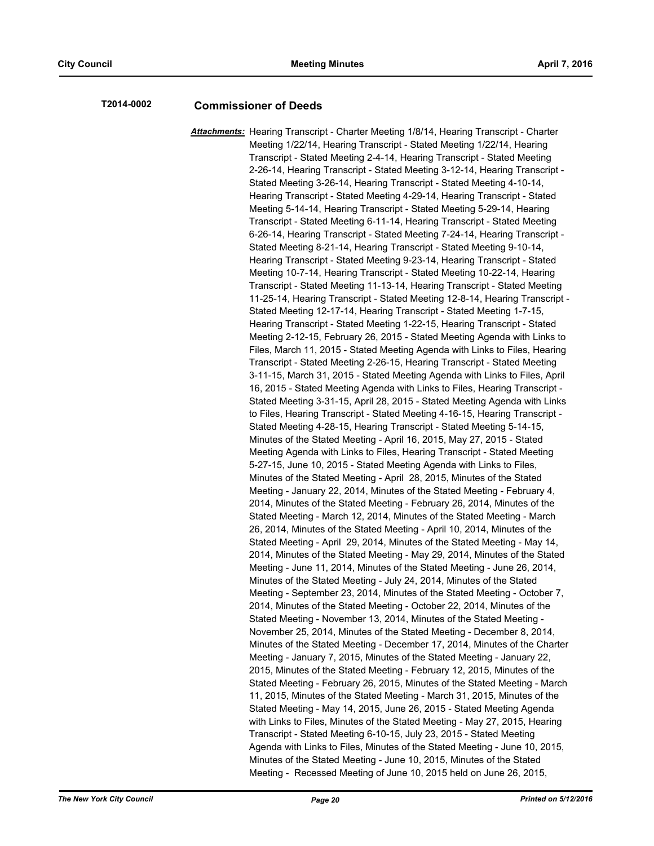# **T2014-0002 Commissioner of Deeds**

*Attachments:* Hearing Transcript - Charter Meeting 1/8/14, Hearing Transcript - Charter Meeting 1/22/14, Hearing Transcript - Stated Meeting 1/22/14, Hearing Transcript - Stated Meeting 2-4-14, Hearing Transcript - Stated Meeting 2-26-14, Hearing Transcript - Stated Meeting 3-12-14, Hearing Transcript - Stated Meeting 3-26-14, Hearing Transcript - Stated Meeting 4-10-14, Hearing Transcript - Stated Meeting 4-29-14, Hearing Transcript - Stated Meeting 5-14-14, Hearing Transcript - Stated Meeting 5-29-14, Hearing Transcript - Stated Meeting 6-11-14, Hearing Transcript - Stated Meeting 6-26-14, Hearing Transcript - Stated Meeting 7-24-14, Hearing Transcript - Stated Meeting 8-21-14, Hearing Transcript - Stated Meeting 9-10-14, Hearing Transcript - Stated Meeting 9-23-14, Hearing Transcript - Stated Meeting 10-7-14, Hearing Transcript - Stated Meeting 10-22-14, Hearing Transcript - Stated Meeting 11-13-14, Hearing Transcript - Stated Meeting 11-25-14, Hearing Transcript - Stated Meeting 12-8-14, Hearing Transcript - Stated Meeting 12-17-14, Hearing Transcript - Stated Meeting 1-7-15, Hearing Transcript - Stated Meeting 1-22-15, Hearing Transcript - Stated Meeting 2-12-15, February 26, 2015 - Stated Meeting Agenda with Links to Files, March 11, 2015 - Stated Meeting Agenda with Links to Files, Hearing Transcript - Stated Meeting 2-26-15, Hearing Transcript - Stated Meeting 3-11-15, March 31, 2015 - Stated Meeting Agenda with Links to Files, April 16, 2015 - Stated Meeting Agenda with Links to Files, Hearing Transcript - Stated Meeting 3-31-15, April 28, 2015 - Stated Meeting Agenda with Links to Files, Hearing Transcript - Stated Meeting 4-16-15, Hearing Transcript - Stated Meeting 4-28-15, Hearing Transcript - Stated Meeting 5-14-15, Minutes of the Stated Meeting - April 16, 2015, May 27, 2015 - Stated Meeting Agenda with Links to Files, Hearing Transcript - Stated Meeting 5-27-15, June 10, 2015 - Stated Meeting Agenda with Links to Files, Minutes of the Stated Meeting - April 28, 2015, Minutes of the Stated Meeting - January 22, 2014, Minutes of the Stated Meeting - February 4, 2014, Minutes of the Stated Meeting - February 26, 2014, Minutes of the Stated Meeting - March 12, 2014, Minutes of the Stated Meeting - March 26, 2014, Minutes of the Stated Meeting - April 10, 2014, Minutes of the Stated Meeting - April 29, 2014, Minutes of the Stated Meeting - May 14, 2014, Minutes of the Stated Meeting - May 29, 2014, Minutes of the Stated Meeting - June 11, 2014, Minutes of the Stated Meeting - June 26, 2014, Minutes of the Stated Meeting - July 24, 2014, Minutes of the Stated Meeting - September 23, 2014, Minutes of the Stated Meeting - October 7, 2014, Minutes of the Stated Meeting - October 22, 2014, Minutes of the Stated Meeting - November 13, 2014, Minutes of the Stated Meeting - November 25, 2014, Minutes of the Stated Meeting - December 8, 2014, Minutes of the Stated Meeting - December 17, 2014, Minutes of the Charter Meeting - January 7, 2015, Minutes of the Stated Meeting - January 22, 2015, Minutes of the Stated Meeting - February 12, 2015, Minutes of the Stated Meeting - February 26, 2015, Minutes of the Stated Meeting - March 11, 2015, Minutes of the Stated Meeting - March 31, 2015, Minutes of the Stated Meeting - May 14, 2015, June 26, 2015 - Stated Meeting Agenda with Links to Files, Minutes of the Stated Meeting - May 27, 2015, Hearing Transcript - Stated Meeting 6-10-15, July 23, 2015 - Stated Meeting Agenda with Links to Files, Minutes of the Stated Meeting - June 10, 2015, Minutes of the Stated Meeting - June 10, 2015, Minutes of the Stated Meeting - Recessed Meeting of June 10, 2015 held on June 26, 2015,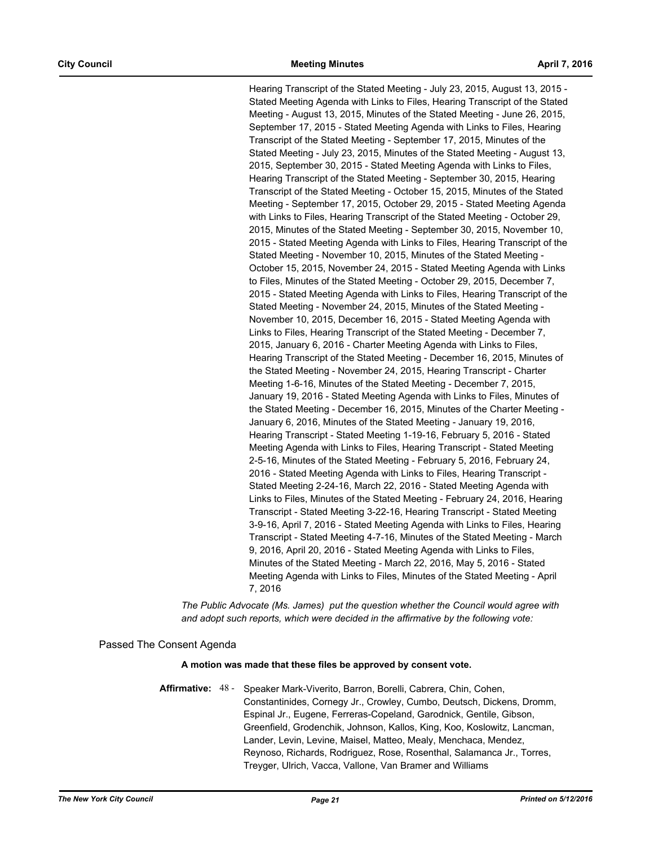Hearing Transcript of the Stated Meeting - July 23, 2015, August 13, 2015 - Stated Meeting Agenda with Links to Files, Hearing Transcript of the Stated Meeting - August 13, 2015, Minutes of the Stated Meeting - June 26, 2015, September 17, 2015 - Stated Meeting Agenda with Links to Files, Hearing Transcript of the Stated Meeting - September 17, 2015, Minutes of the Stated Meeting - July 23, 2015, Minutes of the Stated Meeting - August 13, 2015, September 30, 2015 - Stated Meeting Agenda with Links to Files, Hearing Transcript of the Stated Meeting - September 30, 2015, Hearing Transcript of the Stated Meeting - October 15, 2015, Minutes of the Stated Meeting - September 17, 2015, October 29, 2015 - Stated Meeting Agenda with Links to Files, Hearing Transcript of the Stated Meeting - October 29, 2015, Minutes of the Stated Meeting - September 30, 2015, November 10, 2015 - Stated Meeting Agenda with Links to Files, Hearing Transcript of the Stated Meeting - November 10, 2015, Minutes of the Stated Meeting - October 15, 2015, November 24, 2015 - Stated Meeting Agenda with Links to Files, Minutes of the Stated Meeting - October 29, 2015, December 7, 2015 - Stated Meeting Agenda with Links to Files, Hearing Transcript of the Stated Meeting - November 24, 2015, Minutes of the Stated Meeting - November 10, 2015, December 16, 2015 - Stated Meeting Agenda with Links to Files, Hearing Transcript of the Stated Meeting - December 7, 2015, January 6, 2016 - Charter Meeting Agenda with Links to Files, Hearing Transcript of the Stated Meeting - December 16, 2015, Minutes of the Stated Meeting - November 24, 2015, Hearing Transcript - Charter Meeting 1-6-16, Minutes of the Stated Meeting - December 7, 2015, January 19, 2016 - Stated Meeting Agenda with Links to Files, Minutes of the Stated Meeting - December 16, 2015, Minutes of the Charter Meeting - January 6, 2016, Minutes of the Stated Meeting - January 19, 2016, Hearing Transcript - Stated Meeting 1-19-16, February 5, 2016 - Stated Meeting Agenda with Links to Files, Hearing Transcript - Stated Meeting 2-5-16, Minutes of the Stated Meeting - February 5, 2016, February 24, 2016 - Stated Meeting Agenda with Links to Files, Hearing Transcript - Stated Meeting 2-24-16, March 22, 2016 - Stated Meeting Agenda with Links to Files, Minutes of the Stated Meeting - February 24, 2016, Hearing Transcript - Stated Meeting 3-22-16, Hearing Transcript - Stated Meeting 3-9-16, April 7, 2016 - Stated Meeting Agenda with Links to Files, Hearing Transcript - Stated Meeting 4-7-16, Minutes of the Stated Meeting - March 9, 2016, April 20, 2016 - Stated Meeting Agenda with Links to Files, Minutes of the Stated Meeting - March 22, 2016, May 5, 2016 - Stated Meeting Agenda with Links to Files, Minutes of the Stated Meeting - April 7, 2016

*The Public Advocate (Ms. James) put the question whether the Council would agree with and adopt such reports, which were decided in the affirmative by the following vote:*

# Passed The Consent Agenda

## **A motion was made that these files be approved by consent vote.**

Affirmative: 48 - Speaker Mark-Viverito, Barron, Borelli, Cabrera, Chin, Cohen, Constantinides, Cornegy Jr., Crowley, Cumbo, Deutsch, Dickens, Dromm, Espinal Jr., Eugene, Ferreras-Copeland, Garodnick, Gentile, Gibson, Greenfield, Grodenchik, Johnson, Kallos, King, Koo, Koslowitz, Lancman, Lander, Levin, Levine, Maisel, Matteo, Mealy, Menchaca, Mendez, Reynoso, Richards, Rodriguez, Rose, Rosenthal, Salamanca Jr., Torres, Treyger, Ulrich, Vacca, Vallone, Van Bramer and Williams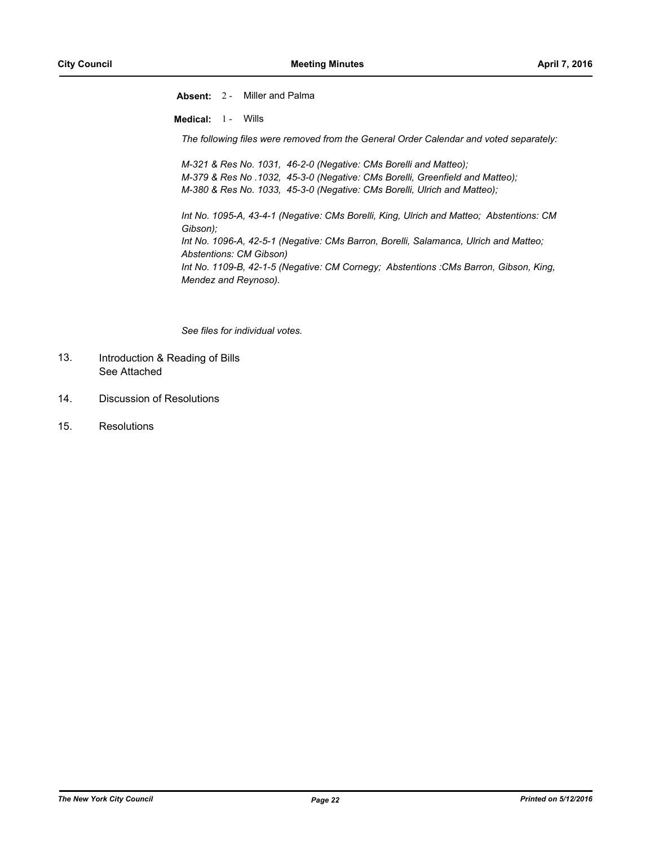**Absent:** 2 - Miller and Palma **Medical:** 1 - Wills *The following files were removed from the General Order Calendar and voted separately: M-321 & Res No. 1031, 46-2-0 (Negative: CMs Borelli and Matteo); M-379 & Res No .1032, 45-3-0 (Negative: CMs Borelli, Greenfield and Matteo); M-380 & Res No. 1033, 45-3-0 (Negative: CMs Borelli, Ulrich and Matteo); Int No. 1095-A, 43-4-1 (Negative: CMs Borelli, King, Ulrich and Matteo; Abstentions: CM Gibson); Int No. 1096-A, 42-5-1 (Negative: CMs Barron, Borelli, Salamanca, Ulrich and Matteo; Abstentions: CM Gibson) Int No. 1109-B, 42-1-5 (Negative: CM Cornegy; Abstentions :CMs Barron, Gibson, King, Mendez and Reynoso).*

*See files for individual votes.*

- Introduction & Reading of Bills See Attached 13.
- 14. Discussion of Resolutions
- 15. Resolutions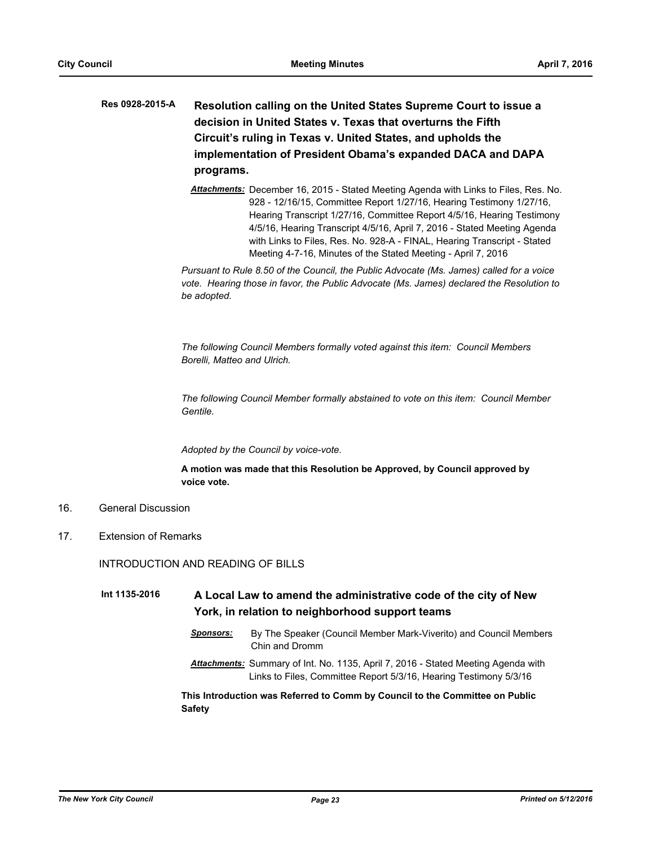# **Resolution calling on the United States Supreme Court to issue a decision in United States v. Texas that overturns the Fifth Circuit's ruling in Texas v. United States, and upholds the implementation of President Obama's expanded DACA and DAPA programs. Res 0928-2015-A**

*Attachments:* December 16, 2015 - Stated Meeting Agenda with Links to Files, Res. No. 928 - 12/16/15, Committee Report 1/27/16, Hearing Testimony 1/27/16, Hearing Transcript 1/27/16, Committee Report 4/5/16, Hearing Testimony 4/5/16, Hearing Transcript 4/5/16, April 7, 2016 - Stated Meeting Agenda with Links to Files, Res. No. 928-A - FINAL, Hearing Transcript - Stated Meeting 4-7-16, Minutes of the Stated Meeting - April 7, 2016

*Pursuant to Rule 8.50 of the Council, the Public Advocate (Ms. James) called for a voice vote. Hearing those in favor, the Public Advocate (Ms. James) declared the Resolution to be adopted.*

*The following Council Members formally voted against this item: Council Members Borelli, Matteo and Ulrich.*

*The following Council Member formally abstained to vote on this item: Council Member Gentile.* 

*Adopted by the Council by voice-vote.*

**A motion was made that this Resolution be Approved, by Council approved by voice vote.**

- 16. General Discussion
- 17. Extension of Remarks

INTRODUCTION AND READING OF BILLS

**A Local Law to amend the administrative code of the city of New York, in relation to neighborhood support teams Int 1135-2016**

- *Sponsors:* By The Speaker (Council Member Mark-Viverito) and Council Members Chin and Dromm
- *Attachments:* Summary of Int. No. 1135, April 7, 2016 Stated Meeting Agenda with Links to Files, Committee Report 5/3/16, Hearing Testimony 5/3/16

**This Introduction was Referred to Comm by Council to the Committee on Public Safety**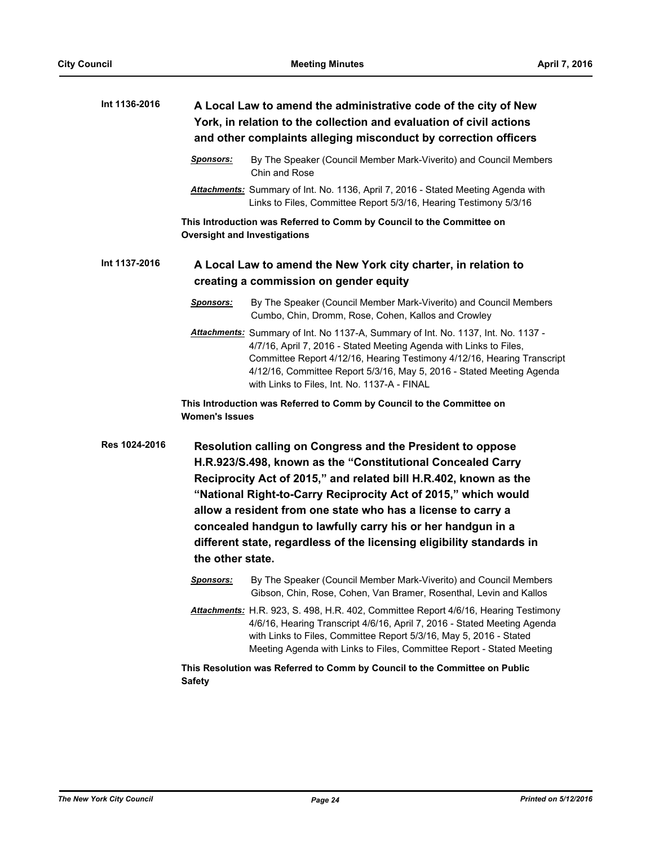| Int 1136-2016 | A Local Law to amend the administrative code of the city of New<br>York, in relation to the collection and evaluation of civil actions<br>and other complaints alleging misconduct by correction officers                                                                                                                                                                                                                                                                                   |                                                                                                                                                                                                                                                                                                                                                             |  |
|---------------|---------------------------------------------------------------------------------------------------------------------------------------------------------------------------------------------------------------------------------------------------------------------------------------------------------------------------------------------------------------------------------------------------------------------------------------------------------------------------------------------|-------------------------------------------------------------------------------------------------------------------------------------------------------------------------------------------------------------------------------------------------------------------------------------------------------------------------------------------------------------|--|
|               | Sponsors:                                                                                                                                                                                                                                                                                                                                                                                                                                                                                   | By The Speaker (Council Member Mark-Viverito) and Council Members<br>Chin and Rose                                                                                                                                                                                                                                                                          |  |
|               |                                                                                                                                                                                                                                                                                                                                                                                                                                                                                             | Attachments: Summary of Int. No. 1136, April 7, 2016 - Stated Meeting Agenda with<br>Links to Files, Committee Report 5/3/16, Hearing Testimony 5/3/16                                                                                                                                                                                                      |  |
|               |                                                                                                                                                                                                                                                                                                                                                                                                                                                                                             | This Introduction was Referred to Comm by Council to the Committee on<br><b>Oversight and Investigations</b>                                                                                                                                                                                                                                                |  |
| Int 1137-2016 |                                                                                                                                                                                                                                                                                                                                                                                                                                                                                             | A Local Law to amend the New York city charter, in relation to                                                                                                                                                                                                                                                                                              |  |
|               |                                                                                                                                                                                                                                                                                                                                                                                                                                                                                             | creating a commission on gender equity                                                                                                                                                                                                                                                                                                                      |  |
|               | <u>Sponsors:</u>                                                                                                                                                                                                                                                                                                                                                                                                                                                                            | By The Speaker (Council Member Mark-Viverito) and Council Members<br>Cumbo, Chin, Dromm, Rose, Cohen, Kallos and Crowley                                                                                                                                                                                                                                    |  |
|               |                                                                                                                                                                                                                                                                                                                                                                                                                                                                                             | Attachments: Summary of Int. No 1137-A, Summary of Int. No. 1137, Int. No. 1137 -<br>4/7/16, April 7, 2016 - Stated Meeting Agenda with Links to Files,<br>Committee Report 4/12/16, Hearing Testimony 4/12/16, Hearing Transcript<br>4/12/16, Committee Report 5/3/16, May 5, 2016 - Stated Meeting Agenda<br>with Links to Files, Int. No. 1137-A - FINAL |  |
|               | <b>Women's Issues</b>                                                                                                                                                                                                                                                                                                                                                                                                                                                                       | This Introduction was Referred to Comm by Council to the Committee on                                                                                                                                                                                                                                                                                       |  |
| Res 1024-2016 | Resolution calling on Congress and the President to oppose<br>H.R.923/S.498, known as the "Constitutional Concealed Carry<br>Reciprocity Act of 2015," and related bill H.R.402, known as the<br>"National Right-to-Carry Reciprocity Act of 2015," which would<br>allow a resident from one state who has a license to carry a<br>concealed handgun to lawfully carry his or her handgun in a<br>different state, regardless of the licensing eligibility standards in<br>the other state. |                                                                                                                                                                                                                                                                                                                                                             |  |
|               |                                                                                                                                                                                                                                                                                                                                                                                                                                                                                             | Sponsors: By The Speaker (Council Member Mark-Viverito) and Council Members<br>Gibson, Chin, Rose, Cohen, Van Bramer, Rosenthal, Levin and Kallos                                                                                                                                                                                                           |  |
|               |                                                                                                                                                                                                                                                                                                                                                                                                                                                                                             | Attachments: H.R. 923, S. 498, H.R. 402, Committee Report 4/6/16, Hearing Testimony<br>4/6/16, Hearing Transcript 4/6/16, April 7, 2016 - Stated Meeting Agenda<br>with Links to Files, Committee Report 5/3/16, May 5, 2016 - Stated<br>Meeting Agenda with Links to Files, Committee Report - Stated Meeting                                              |  |
|               | <b>Safety</b>                                                                                                                                                                                                                                                                                                                                                                                                                                                                               | This Resolution was Referred to Comm by Council to the Committee on Public                                                                                                                                                                                                                                                                                  |  |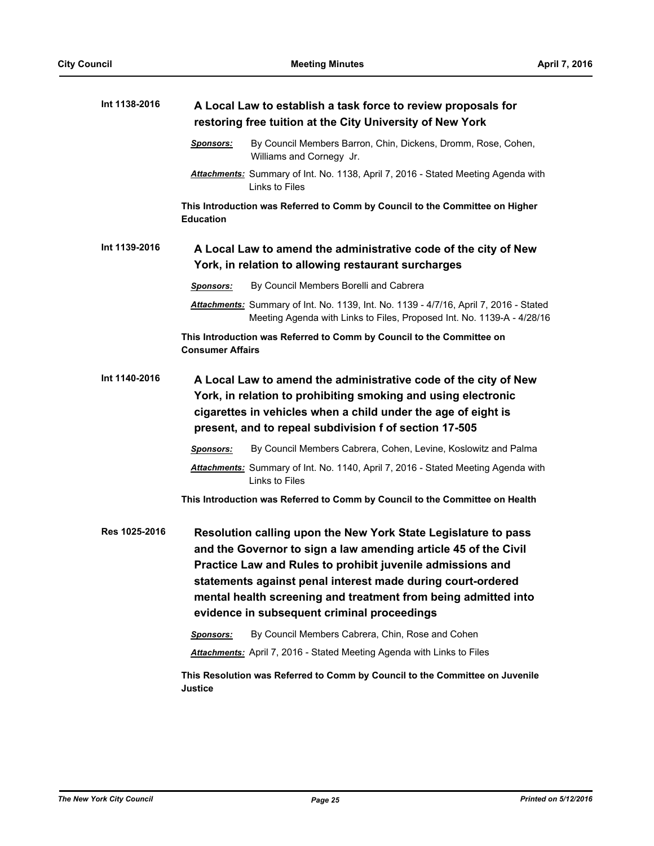| Int 1138-2016 | A Local Law to establish a task force to review proposals for<br>restoring free tuition at the City University of New York                                                                                                                                                                                                                                                      |                                                                                                                                                                 |  |
|---------------|---------------------------------------------------------------------------------------------------------------------------------------------------------------------------------------------------------------------------------------------------------------------------------------------------------------------------------------------------------------------------------|-----------------------------------------------------------------------------------------------------------------------------------------------------------------|--|
|               | <b>Sponsors:</b>                                                                                                                                                                                                                                                                                                                                                                | By Council Members Barron, Chin, Dickens, Dromm, Rose, Cohen,<br>Williams and Cornegy Jr.                                                                       |  |
|               |                                                                                                                                                                                                                                                                                                                                                                                 | Attachments: Summary of Int. No. 1138, April 7, 2016 - Stated Meeting Agenda with<br>Links to Files                                                             |  |
|               | <b>Education</b>                                                                                                                                                                                                                                                                                                                                                                | This Introduction was Referred to Comm by Council to the Committee on Higher                                                                                    |  |
| Int 1139-2016 | A Local Law to amend the administrative code of the city of New<br>York, in relation to allowing restaurant surcharges                                                                                                                                                                                                                                                          |                                                                                                                                                                 |  |
|               | <b>Sponsors:</b>                                                                                                                                                                                                                                                                                                                                                                | By Council Members Borelli and Cabrera                                                                                                                          |  |
|               |                                                                                                                                                                                                                                                                                                                                                                                 | Attachments: Summary of Int. No. 1139, Int. No. 1139 - 4/7/16, April 7, 2016 - Stated<br>Meeting Agenda with Links to Files, Proposed Int. No. 1139-A - 4/28/16 |  |
|               | <b>Consumer Affairs</b>                                                                                                                                                                                                                                                                                                                                                         | This Introduction was Referred to Comm by Council to the Committee on                                                                                           |  |
| Int 1140-2016 | A Local Law to amend the administrative code of the city of New<br>York, in relation to prohibiting smoking and using electronic<br>cigarettes in vehicles when a child under the age of eight is<br>present, and to repeal subdivision f of section 17-505                                                                                                                     |                                                                                                                                                                 |  |
|               | <b>Sponsors:</b>                                                                                                                                                                                                                                                                                                                                                                | By Council Members Cabrera, Cohen, Levine, Koslowitz and Palma                                                                                                  |  |
|               |                                                                                                                                                                                                                                                                                                                                                                                 | Attachments: Summary of Int. No. 1140, April 7, 2016 - Stated Meeting Agenda with<br>Links to Files                                                             |  |
|               |                                                                                                                                                                                                                                                                                                                                                                                 | This Introduction was Referred to Comm by Council to the Committee on Health                                                                                    |  |
| Res 1025-2016 | Resolution calling upon the New York State Legislature to pass<br>and the Governor to sign a law amending article 45 of the Civil<br>Practice Law and Rules to prohibit juvenile admissions and<br>statements against penal interest made during court-ordered<br>mental health screening and treatment from being admitted into<br>evidence in subsequent criminal proceedings |                                                                                                                                                                 |  |
|               | Sponsors:                                                                                                                                                                                                                                                                                                                                                                       | By Council Members Cabrera, Chin, Rose and Cohen                                                                                                                |  |
|               |                                                                                                                                                                                                                                                                                                                                                                                 | <b>Attachments:</b> April 7, 2016 - Stated Meeting Agenda with Links to Files                                                                                   |  |
|               | <b>Justice</b>                                                                                                                                                                                                                                                                                                                                                                  | This Resolution was Referred to Comm by Council to the Committee on Juvenile                                                                                    |  |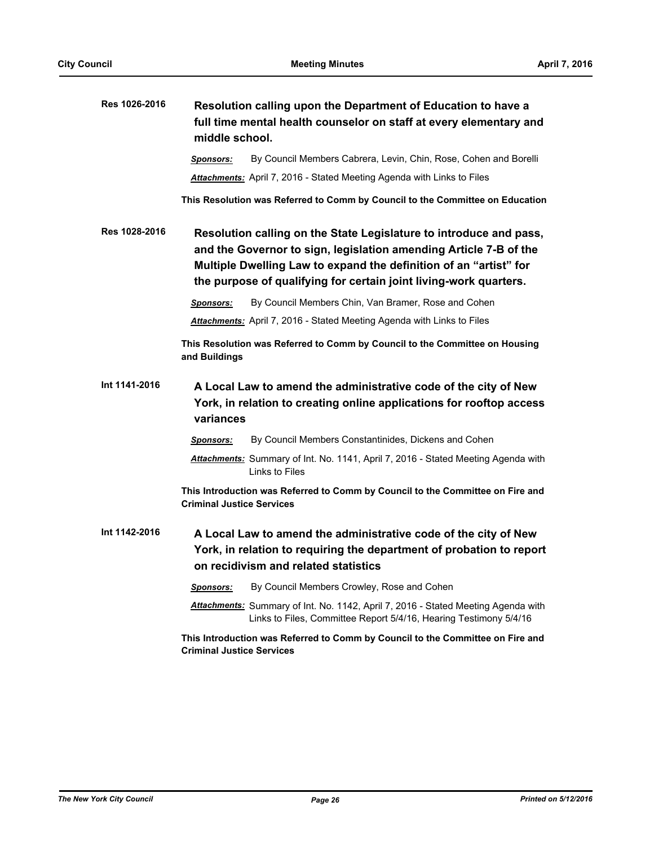| Res 1026-2016 | Resolution calling upon the Department of Education to have a<br>full time mental health counselor on staff at every elementary and<br>middle school.                                                                                                                             |  |
|---------------|-----------------------------------------------------------------------------------------------------------------------------------------------------------------------------------------------------------------------------------------------------------------------------------|--|
|               | By Council Members Cabrera, Levin, Chin, Rose, Cohen and Borelli<br><b>Sponsors:</b>                                                                                                                                                                                              |  |
|               | Attachments: April 7, 2016 - Stated Meeting Agenda with Links to Files                                                                                                                                                                                                            |  |
|               | This Resolution was Referred to Comm by Council to the Committee on Education                                                                                                                                                                                                     |  |
| Res 1028-2016 | Resolution calling on the State Legislature to introduce and pass,<br>and the Governor to sign, legislation amending Article 7-B of the<br>Multiple Dwelling Law to expand the definition of an "artist" for<br>the purpose of qualifying for certain joint living-work quarters. |  |
|               | By Council Members Chin, Van Bramer, Rose and Cohen<br><b>Sponsors:</b>                                                                                                                                                                                                           |  |
|               | <b>Attachments:</b> April 7, 2016 - Stated Meeting Agenda with Links to Files                                                                                                                                                                                                     |  |
|               | This Resolution was Referred to Comm by Council to the Committee on Housing<br>and Buildings                                                                                                                                                                                      |  |
| Int 1141-2016 | A Local Law to amend the administrative code of the city of New<br>York, in relation to creating online applications for rooftop access<br>variances                                                                                                                              |  |
|               | By Council Members Constantinides, Dickens and Cohen<br>Sponsors:                                                                                                                                                                                                                 |  |
|               | Attachments: Summary of Int. No. 1141, April 7, 2016 - Stated Meeting Agenda with<br>Links to Files                                                                                                                                                                               |  |
|               | This Introduction was Referred to Comm by Council to the Committee on Fire and<br><b>Criminal Justice Services</b>                                                                                                                                                                |  |
| Int 1142-2016 | A Local Law to amend the administrative code of the city of New<br>York, in relation to requiring the department of probation to report<br>on recidivism and related statistics                                                                                                   |  |
|               | By Council Members Crowley, Rose and Cohen<br><u>Sponsors:</u>                                                                                                                                                                                                                    |  |
|               | Attachments: Summary of Int. No. 1142, April 7, 2016 - Stated Meeting Agenda with<br>Links to Files, Committee Report 5/4/16, Hearing Testimony 5/4/16                                                                                                                            |  |
|               | This Introduction was Referred to Comm by Council to the Committee on Fire and<br><b>Criminal Justice Services</b>                                                                                                                                                                |  |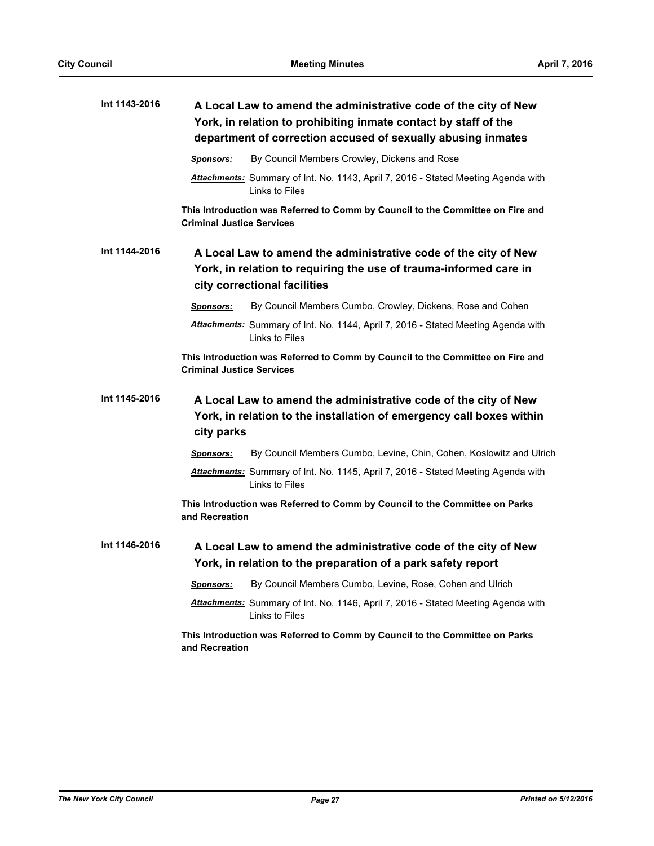| Int 1143-2016 | A Local Law to amend the administrative code of the city of New<br>York, in relation to prohibiting inmate contact by staff of the<br>department of correction accused of sexually abusing inmates |  |  |
|---------------|----------------------------------------------------------------------------------------------------------------------------------------------------------------------------------------------------|--|--|
|               | By Council Members Crowley, Dickens and Rose<br>Sponsors:                                                                                                                                          |  |  |
|               | Attachments: Summary of Int. No. 1143, April 7, 2016 - Stated Meeting Agenda with<br>Links to Files                                                                                                |  |  |
|               | This Introduction was Referred to Comm by Council to the Committee on Fire and<br><b>Criminal Justice Services</b>                                                                                 |  |  |
| Int 1144-2016 | A Local Law to amend the administrative code of the city of New<br>York, in relation to requiring the use of trauma-informed care in<br>city correctional facilities                               |  |  |
|               | By Council Members Cumbo, Crowley, Dickens, Rose and Cohen<br>Sponsors:                                                                                                                            |  |  |
|               | Attachments: Summary of Int. No. 1144, April 7, 2016 - Stated Meeting Agenda with<br>Links to Files                                                                                                |  |  |
|               | This Introduction was Referred to Comm by Council to the Committee on Fire and<br><b>Criminal Justice Services</b>                                                                                 |  |  |
| Int 1145-2016 | A Local Law to amend the administrative code of the city of New<br>York, in relation to the installation of emergency call boxes within<br>city parks                                              |  |  |
|               | By Council Members Cumbo, Levine, Chin, Cohen, Koslowitz and Ulrich<br>Sponsors:                                                                                                                   |  |  |
|               | Attachments: Summary of Int. No. 1145, April 7, 2016 - Stated Meeting Agenda with<br>Links to Files                                                                                                |  |  |
|               | This Introduction was Referred to Comm by Council to the Committee on Parks<br>and Recreation                                                                                                      |  |  |
| Int 1146-2016 | A Local Law to amend the administrative code of the city of New<br>York, in relation to the preparation of a park safety report                                                                    |  |  |
|               | By Council Members Cumbo, Levine, Rose, Cohen and Ulrich<br>Sponsors:                                                                                                                              |  |  |
|               | Attachments: Summary of Int. No. 1146, April 7, 2016 - Stated Meeting Agenda with<br>Links to Files                                                                                                |  |  |
|               | This Introduction was Referred to Comm by Council to the Committee on Parks<br>and Recreation                                                                                                      |  |  |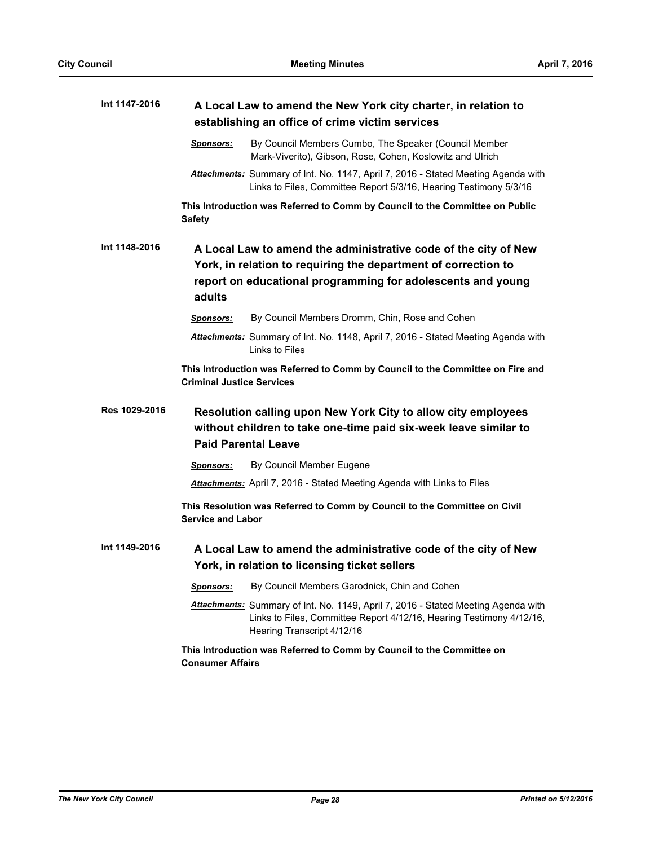| Int 1147-2016 | A Local Law to amend the New York city charter, in relation to                                                                                                                                             |                                                                                                                                                                                         |  |
|---------------|------------------------------------------------------------------------------------------------------------------------------------------------------------------------------------------------------------|-----------------------------------------------------------------------------------------------------------------------------------------------------------------------------------------|--|
|               | establishing an office of crime victim services                                                                                                                                                            |                                                                                                                                                                                         |  |
|               | <u>Sponsors:</u>                                                                                                                                                                                           | By Council Members Cumbo, The Speaker (Council Member<br>Mark-Viverito), Gibson, Rose, Cohen, Koslowitz and Ulrich                                                                      |  |
|               |                                                                                                                                                                                                            | Attachments: Summary of Int. No. 1147, April 7, 2016 - Stated Meeting Agenda with<br>Links to Files, Committee Report 5/3/16, Hearing Testimony 5/3/16                                  |  |
|               | <b>Safety</b>                                                                                                                                                                                              | This Introduction was Referred to Comm by Council to the Committee on Public                                                                                                            |  |
| Int 1148-2016 | A Local Law to amend the administrative code of the city of New<br>York, in relation to requiring the department of correction to<br>report on educational programming for adolescents and young<br>adults |                                                                                                                                                                                         |  |
|               | <b>Sponsors:</b>                                                                                                                                                                                           | By Council Members Dromm, Chin, Rose and Cohen                                                                                                                                          |  |
|               |                                                                                                                                                                                                            | Attachments: Summary of Int. No. 1148, April 7, 2016 - Stated Meeting Agenda with<br>Links to Files                                                                                     |  |
|               | <b>Criminal Justice Services</b>                                                                                                                                                                           | This Introduction was Referred to Comm by Council to the Committee on Fire and                                                                                                          |  |
| Res 1029-2016 | Resolution calling upon New York City to allow city employees<br>without children to take one-time paid six-week leave similar to<br><b>Paid Parental Leave</b>                                            |                                                                                                                                                                                         |  |
|               | <u>Sponsors:</u>                                                                                                                                                                                           | By Council Member Eugene                                                                                                                                                                |  |
|               |                                                                                                                                                                                                            | <b>Attachments:</b> April 7, 2016 - Stated Meeting Agenda with Links to Files                                                                                                           |  |
|               | <b>Service and Labor</b>                                                                                                                                                                                   | This Resolution was Referred to Comm by Council to the Committee on Civil                                                                                                               |  |
| Int 1149-2016 | A Local Law to amend the administrative code of the city of New<br>York, in relation to licensing ticket sellers                                                                                           |                                                                                                                                                                                         |  |
|               | <u>Sponsors:</u>                                                                                                                                                                                           | By Council Members Garodnick, Chin and Cohen                                                                                                                                            |  |
|               |                                                                                                                                                                                                            | Attachments: Summary of Int. No. 1149, April 7, 2016 - Stated Meeting Agenda with<br>Links to Files, Committee Report 4/12/16, Hearing Testimony 4/12/16,<br>Hearing Transcript 4/12/16 |  |
|               | <b>Consumer Affairs</b>                                                                                                                                                                                    | This Introduction was Referred to Comm by Council to the Committee on                                                                                                                   |  |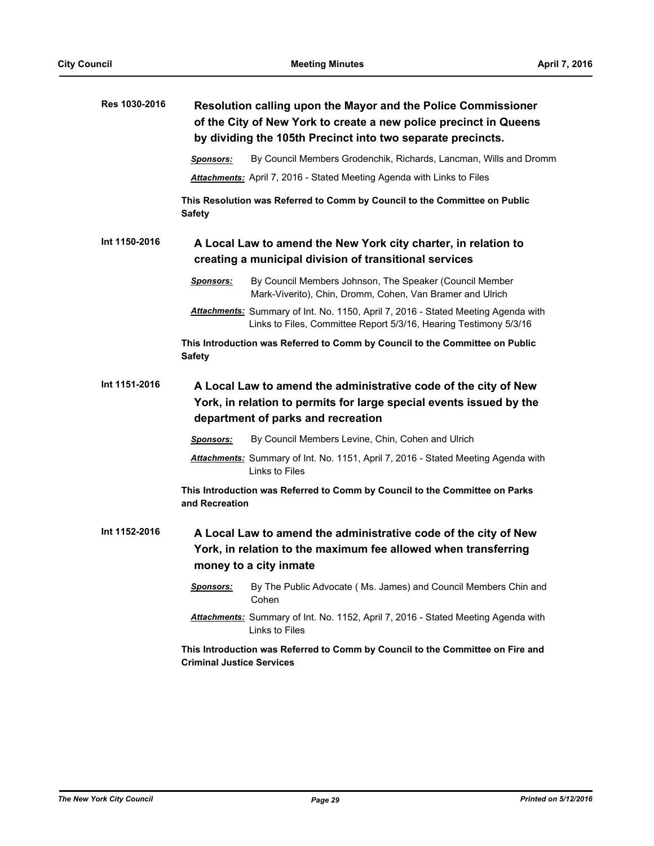| Res 1030-2016 | Resolution calling upon the Mayor and the Police Commissioner<br>of the City of New York to create a new police precinct in Queens<br>by dividing the 105th Precinct into two separate precincts. |  |  |
|---------------|---------------------------------------------------------------------------------------------------------------------------------------------------------------------------------------------------|--|--|
|               | By Council Members Grodenchik, Richards, Lancman, Wills and Dromm<br><b>Sponsors:</b>                                                                                                             |  |  |
|               | <b>Attachments:</b> April 7, 2016 - Stated Meeting Agenda with Links to Files                                                                                                                     |  |  |
|               | This Resolution was Referred to Comm by Council to the Committee on Public<br><b>Safety</b>                                                                                                       |  |  |
| Int 1150-2016 | A Local Law to amend the New York city charter, in relation to<br>creating a municipal division of transitional services                                                                          |  |  |
|               | <b>Sponsors:</b><br>By Council Members Johnson, The Speaker (Council Member<br>Mark-Viverito), Chin, Dromm, Cohen, Van Bramer and Ulrich                                                          |  |  |
|               | <b>Attachments:</b> Summary of Int. No. 1150, April 7, 2016 - Stated Meeting Agenda with<br>Links to Files, Committee Report 5/3/16, Hearing Testimony 5/3/16                                     |  |  |
|               | This Introduction was Referred to Comm by Council to the Committee on Public<br><b>Safety</b>                                                                                                     |  |  |
| Int 1151-2016 | A Local Law to amend the administrative code of the city of New<br>York, in relation to permits for large special events issued by the<br>department of parks and recreation                      |  |  |
|               | By Council Members Levine, Chin, Cohen and Ulrich<br><b>Sponsors:</b>                                                                                                                             |  |  |
|               | Attachments: Summary of Int. No. 1151, April 7, 2016 - Stated Meeting Agenda with<br>Links to Files                                                                                               |  |  |
|               | This Introduction was Referred to Comm by Council to the Committee on Parks<br>and Recreation                                                                                                     |  |  |
| Int 1152-2016 | A Local Law to amend the administrative code of the city of New<br>York, in relation to the maximum fee allowed when transferring<br>money to a city inmate                                       |  |  |
|               | By The Public Advocate (Ms. James) and Council Members Chin and<br>Sponsors:<br>Cohen                                                                                                             |  |  |
|               | Attachments: Summary of Int. No. 1152, April 7, 2016 - Stated Meeting Agenda with<br>Links to Files                                                                                               |  |  |
|               | This Introduction was Referred to Comm by Council to the Committee on Fire and<br><b>Criminal Justice Services</b>                                                                                |  |  |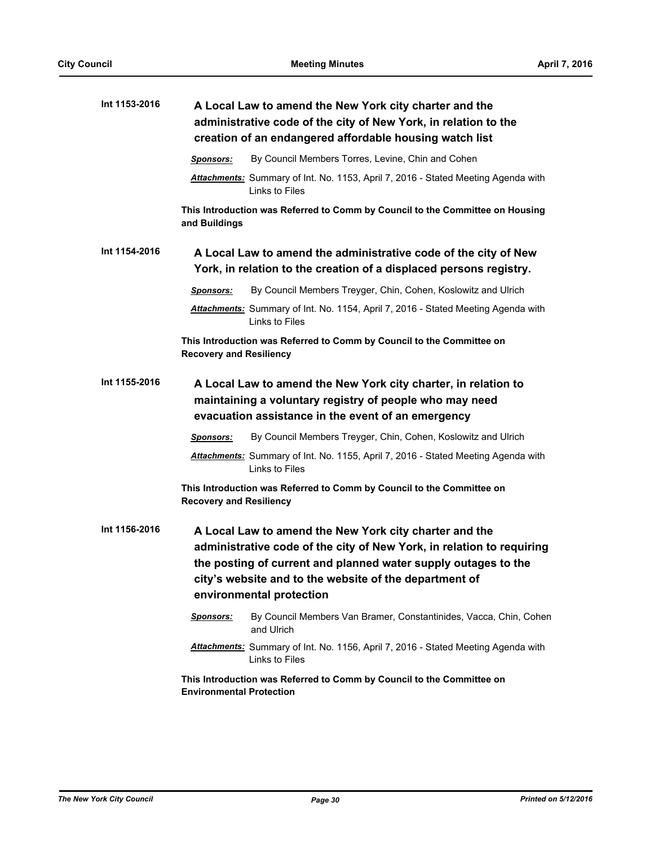| Int 1153-2016 | A Local Law to amend the New York city charter and the<br>administrative code of the city of New York, in relation to the<br>creation of an endangered affordable housing watch list                                                                                                    |  |  |
|---------------|-----------------------------------------------------------------------------------------------------------------------------------------------------------------------------------------------------------------------------------------------------------------------------------------|--|--|
|               | By Council Members Torres, Levine, Chin and Cohen<br><b>Sponsors:</b>                                                                                                                                                                                                                   |  |  |
|               | Attachments: Summary of Int. No. 1153, April 7, 2016 - Stated Meeting Agenda with<br>Links to Files                                                                                                                                                                                     |  |  |
|               | This Introduction was Referred to Comm by Council to the Committee on Housing<br>and Buildings                                                                                                                                                                                          |  |  |
| Int 1154-2016 | A Local Law to amend the administrative code of the city of New<br>York, in relation to the creation of a displaced persons registry.                                                                                                                                                   |  |  |
|               | By Council Members Treyger, Chin, Cohen, Koslowitz and Ulrich<br><b>Sponsors:</b>                                                                                                                                                                                                       |  |  |
|               | Attachments: Summary of Int. No. 1154, April 7, 2016 - Stated Meeting Agenda with<br>Links to Files                                                                                                                                                                                     |  |  |
|               | This Introduction was Referred to Comm by Council to the Committee on<br><b>Recovery and Resiliency</b>                                                                                                                                                                                 |  |  |
| Int 1155-2016 | A Local Law to amend the New York city charter, in relation to<br>maintaining a voluntary registry of people who may need<br>evacuation assistance in the event of an emergency                                                                                                         |  |  |
|               | By Council Members Treyger, Chin, Cohen, Koslowitz and Ulrich<br><b>Sponsors:</b>                                                                                                                                                                                                       |  |  |
|               | Attachments: Summary of Int. No. 1155, April 7, 2016 - Stated Meeting Agenda with<br>Links to Files                                                                                                                                                                                     |  |  |
|               | This Introduction was Referred to Comm by Council to the Committee on<br><b>Recovery and Resiliency</b>                                                                                                                                                                                 |  |  |
| Int 1156-2016 | A Local Law to amend the New York city charter and the<br>administrative code of the city of New York, in relation to requiring<br>the posting of current and planned water supply outages to the<br>city's website and to the website of the department of<br>environmental protection |  |  |
|               | Sponsors:<br>By Council Members Van Bramer, Constantinides, Vacca, Chin, Cohen<br>and Ulrich                                                                                                                                                                                            |  |  |
|               | Attachments: Summary of Int. No. 1156, April 7, 2016 - Stated Meeting Agenda with<br>Links to Files                                                                                                                                                                                     |  |  |
|               | This Introduction was Referred to Comm by Council to the Committee on<br><b>Environmental Protection</b>                                                                                                                                                                                |  |  |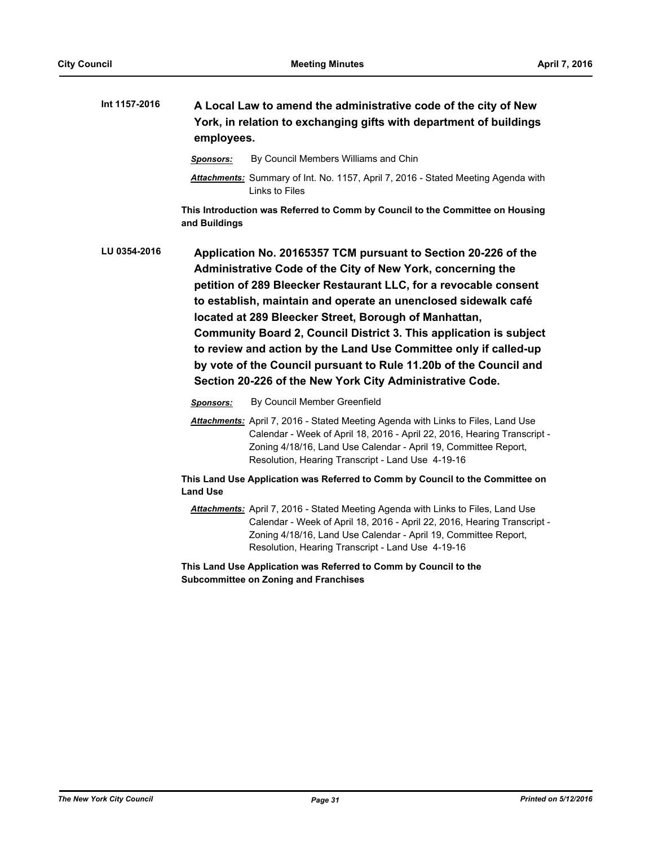| Int 1157-2016 | A Local Law to amend the administrative code of the city of New<br>York, in relation to exchanging gifts with department of buildings<br>employees. |                                                                                                                                                                                                                                                                                                                                                                                                                                                                                                                                                                                                         |  |
|---------------|-----------------------------------------------------------------------------------------------------------------------------------------------------|---------------------------------------------------------------------------------------------------------------------------------------------------------------------------------------------------------------------------------------------------------------------------------------------------------------------------------------------------------------------------------------------------------------------------------------------------------------------------------------------------------------------------------------------------------------------------------------------------------|--|
|               | <u>Sponsors:</u>                                                                                                                                    | By Council Members Williams and Chin                                                                                                                                                                                                                                                                                                                                                                                                                                                                                                                                                                    |  |
|               |                                                                                                                                                     | <b>Attachments:</b> Summary of Int. No. 1157, April 7, 2016 - Stated Meeting Agenda with<br>Links to Files                                                                                                                                                                                                                                                                                                                                                                                                                                                                                              |  |
|               | and Buildings                                                                                                                                       | This Introduction was Referred to Comm by Council to the Committee on Housing                                                                                                                                                                                                                                                                                                                                                                                                                                                                                                                           |  |
| LU 0354-2016  |                                                                                                                                                     | Application No. 20165357 TCM pursuant to Section 20-226 of the<br>Administrative Code of the City of New York, concerning the<br>petition of 289 Bleecker Restaurant LLC, for a revocable consent<br>to establish, maintain and operate an unenclosed sidewalk café<br>located at 289 Bleecker Street, Borough of Manhattan,<br>Community Board 2, Council District 3. This application is subject<br>to review and action by the Land Use Committee only if called-up<br>by vote of the Council pursuant to Rule 11.20b of the Council and<br>Section 20-226 of the New York City Administrative Code. |  |
|               | Sponsors:                                                                                                                                           | By Council Member Greenfield                                                                                                                                                                                                                                                                                                                                                                                                                                                                                                                                                                            |  |
|               |                                                                                                                                                     | Attachments: April 7, 2016 - Stated Meeting Agenda with Links to Files, Land Use<br>Calendar - Week of April 18, 2016 - April 22, 2016, Hearing Transcript -<br>Zoning 4/18/16, Land Use Calendar - April 19, Committee Report,<br>Resolution, Hearing Transcript - Land Use 4-19-16                                                                                                                                                                                                                                                                                                                    |  |
|               | <b>Land Use</b>                                                                                                                                     | This Land Use Application was Referred to Comm by Council to the Committee on                                                                                                                                                                                                                                                                                                                                                                                                                                                                                                                           |  |
|               |                                                                                                                                                     | Attachments: April 7, 2016 - Stated Meeting Agenda with Links to Files, Land Use<br>Calendar - Week of April 18, 2016 - April 22, 2016, Hearing Transcript -<br>Zoning 4/18/16, Land Use Calendar - April 19, Committee Report,<br>Resolution, Hearing Transcript - Land Use 4-19-16                                                                                                                                                                                                                                                                                                                    |  |
|               |                                                                                                                                                     | This Land Use Application was Referred to Comm by Council to the<br><b>Subcommittee on Zoning and Franchises</b>                                                                                                                                                                                                                                                                                                                                                                                                                                                                                        |  |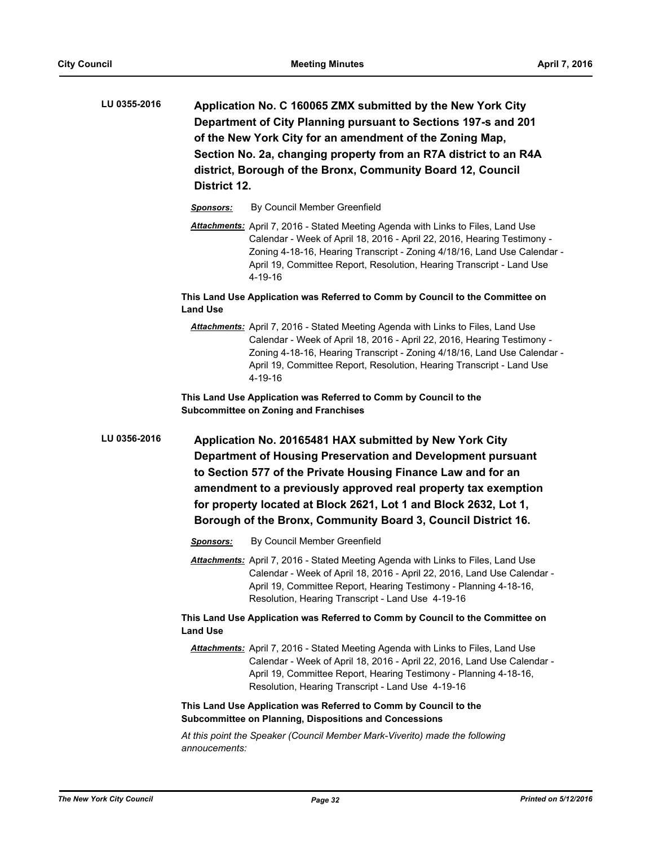- **Application No. C 160065 ZMX submitted by the New York City Department of City Planning pursuant to Sections 197-s and 201 of the New York City for an amendment of the Zoning Map, Section No. 2a, changing property from an R7A district to an R4A district, Borough of the Bronx, Community Board 12, Council District 12. LU 0355-2016**
	- *Sponsors:* By Council Member Greenfield
	- *Attachments:* April 7, 2016 Stated Meeting Agenda with Links to Files, Land Use Calendar - Week of April 18, 2016 - April 22, 2016, Hearing Testimony - Zoning 4-18-16, Hearing Transcript - Zoning 4/18/16, Land Use Calendar - April 19, Committee Report, Resolution, Hearing Transcript - Land Use 4-19-16

**This Land Use Application was Referred to Comm by Council to the Committee on Land Use**

*Attachments:* April 7, 2016 - Stated Meeting Agenda with Links to Files, Land Use Calendar - Week of April 18, 2016 - April 22, 2016, Hearing Testimony - Zoning 4-18-16, Hearing Transcript - Zoning 4/18/16, Land Use Calendar - April 19, Committee Report, Resolution, Hearing Transcript - Land Use 4-19-16

**This Land Use Application was Referred to Comm by Council to the Subcommittee on Zoning and Franchises**

**Application No. 20165481 HAX submitted by New York City Department of Housing Preservation and Development pursuant to Section 577 of the Private Housing Finance Law and for an amendment to a previously approved real property tax exemption for property located at Block 2621, Lot 1 and Block 2632, Lot 1, Borough of the Bronx, Community Board 3, Council District 16. LU 0356-2016**

- *Sponsors:* By Council Member Greenfield
- *Attachments:* April 7, 2016 Stated Meeting Agenda with Links to Files, Land Use Calendar - Week of April 18, 2016 - April 22, 2016, Land Use Calendar - April 19, Committee Report, Hearing Testimony - Planning 4-18-16, Resolution, Hearing Transcript - Land Use 4-19-16

**This Land Use Application was Referred to Comm by Council to the Committee on Land Use**

*Attachments:* April 7, 2016 - Stated Meeting Agenda with Links to Files, Land Use Calendar - Week of April 18, 2016 - April 22, 2016, Land Use Calendar - April 19, Committee Report, Hearing Testimony - Planning 4-18-16, Resolution, Hearing Transcript - Land Use 4-19-16

# **This Land Use Application was Referred to Comm by Council to the Subcommittee on Planning, Dispositions and Concessions**

*At this point the Speaker (Council Member Mark-Viverito) made the following annoucements:*